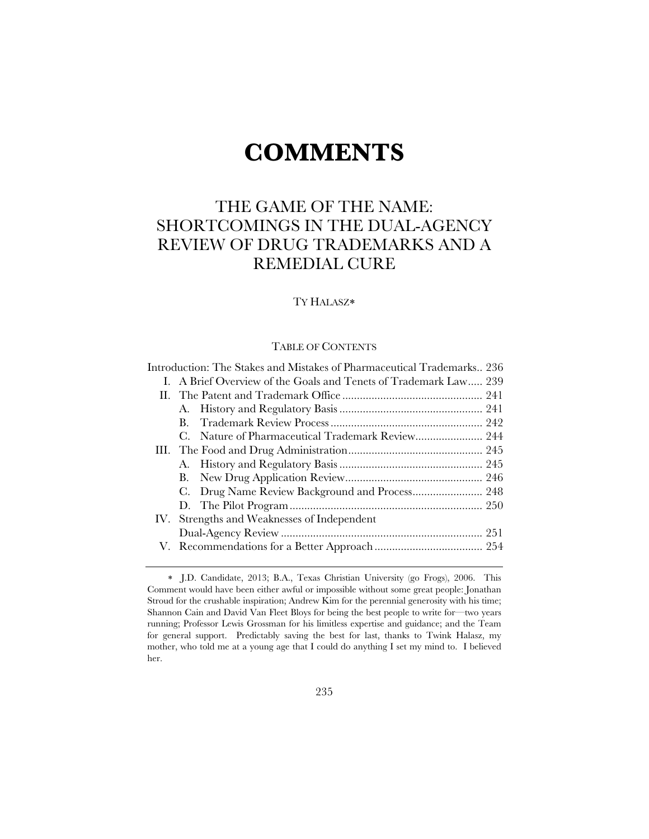# **COMMENTS**

# THE GAME OF THE NAME: SHORTCOMINGS IN THE DUAL-AGENCY REVIEW OF DRUG TRADEMARKS AND A REMEDIAL CURE

# TY HALASZ

# TABLE OF CONTENTS

| Introduction: The Stakes and Mistakes of Pharmaceutical Trademarks 236 |  |
|------------------------------------------------------------------------|--|
| I. A Brief Overview of the Goals and Tenets of Trademark Law 239       |  |
|                                                                        |  |
|                                                                        |  |
| В.                                                                     |  |
| C. Nature of Pharmaceutical Trademark Review 244                       |  |
|                                                                        |  |
|                                                                        |  |
| В.                                                                     |  |
|                                                                        |  |
|                                                                        |  |
| IV. Strengths and Weaknesses of Independent                            |  |
|                                                                        |  |
|                                                                        |  |
|                                                                        |  |

J.D. Candidate, 2013; B.A., Texas Christian University (go Frogs), 2006. This Comment would have been either awful or impossible without some great people: Jonathan Stroud for the crushable inspiration; Andrew Kim for the perennial generosity with his time; Shannon Cain and David Van Fleet Bloys for being the best people to write for—two years running; Professor Lewis Grossman for his limitless expertise and guidance; and the Team for general support. Predictably saving the best for last, thanks to Twink Halasz, my mother, who told me at a young age that I could do anything I set my mind to. I believed her.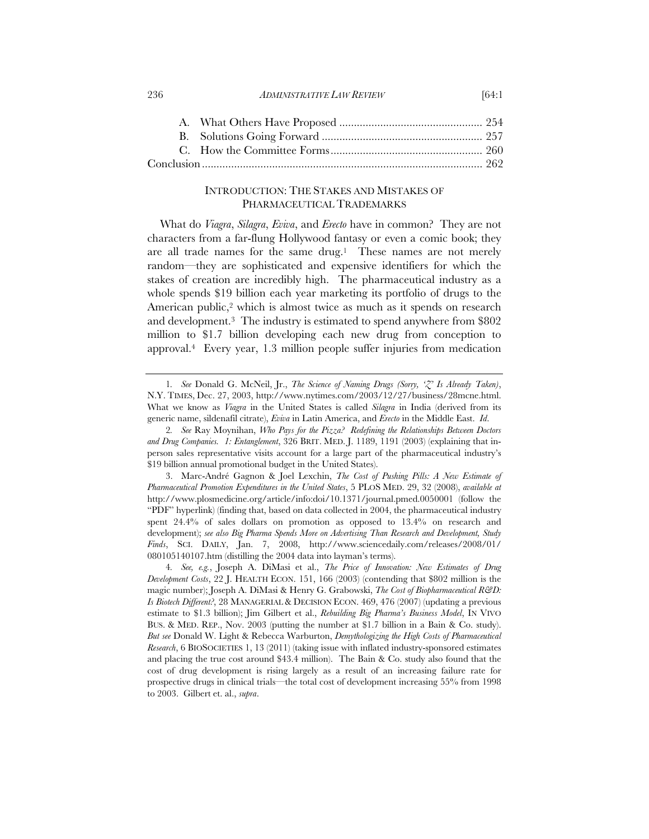# INTRODUCTION: THE STAKES AND MISTAKES OF PHARMACEUTICAL TRADEMARKS

What do *Viagra*, *Silagra*, *Eviva*, and *Erecto* have in common? They are not characters from a far-flung Hollywood fantasy or even a comic book; they are all trade names for the same drug.<sup>1</sup> These names are not merely random—they are sophisticated and expensive identifiers for which the stakes of creation are incredibly high. The pharmaceutical industry as a whole spends \$19 billion each year marketing its portfolio of drugs to the American public,<sup>2</sup> which is almost twice as much as it spends on research and development.3 The industry is estimated to spend anywhere from \$802 million to \$1.7 billion developing each new drug from conception to approval.4 Every year, 1.3 million people suffer injuries from medication

<sup>236</sup> *ADMINISTRATIVE LAW REVIEW* [64:1

<sup>1</sup>*. See* Donald G. McNeil, Jr., *The Science of Naming Drugs (Sorry, 'Z' Is Already Taken)*, N.Y. TIMES, Dec. 27, 2003, http://www.nytimes.com/2003/12/27/business/28mcne.html. What we know as *Viagra* in the United States is called *Silagra* in India (derived from its generic name, sildenafil citrate), *Eviva* in Latin America, and *Erecto* in the Middle East. *Id*.

<sup>2</sup>*. See* Ray Moynihan, *Who Pays for the Pizza? Redefining the Relationships Between Doctors and Drug Companies. 1: Entanglement*, 326 BRIT. MED. J. 1189, 1191 (2003) (explaining that inperson sales representative visits account for a large part of the pharmaceutical industry's \$19 billion annual promotional budget in the United States).

<sup>3.</sup> Marc-André Gagnon & Joel Lexchin, *The Cost of Pushing Pills: A New Estimate of Pharmaceutical Promotion Expenditures in the United States*, 5 PLOS MED. 29, 32 (2008), *available at* http://www.plosmedicine.org/article/info:doi/10.1371/journal.pmed.0050001 (follow the "PDF" hyperlink) (finding that, based on data collected in 2004, the pharmaceutical industry spent 24.4% of sales dollars on promotion as opposed to 13.4% on research and development); *see also Big Pharma Spends More on Advertising Than Research and Development, Study Finds*, SCI. DAILY, Jan. 7, 2008, http://www.sciencedaily.com/releases/2008/01/ 080105140107.htm (distilling the 2004 data into layman's terms).

<sup>4</sup>*. See, e.g.*, Joseph A. DiMasi et al., *The Price of Innovation: New Estimates of Drug Development Costs*, 22 J. HEALTH ECON. 151, 166 (2003) (contending that \$802 million is the magic number); Joseph A. DiMasi & Henry G. Grabowski, *The Cost of Biopharmaceutical R&D: Is Biotech Different?*, 28 MANAGERIAL & DECISION ECON. 469, 476 (2007) (updating a previous estimate to \$1.3 billion); Jim Gilbert et al., *Rebuilding Big Pharma's Business Model*, IN VIVO BUS. & MED. REP., Nov. 2003 (putting the number at \$1.7 billion in a Bain & Co. study). *But see* Donald W. Light & Rebecca Warburton, *Demythologizing the High Costs of Pharmaceutical Research*, 6 BIOSOCIETIES 1, 13 (2011) (taking issue with inflated industry-sponsored estimates and placing the true cost around \$43.4 million). The Bain & Co. study also found that the cost of drug development is rising largely as a result of an increasing failure rate for prospective drugs in clinical trials—the total cost of development increasing 55% from 1998 to 2003. Gilbert et. al., *supra*.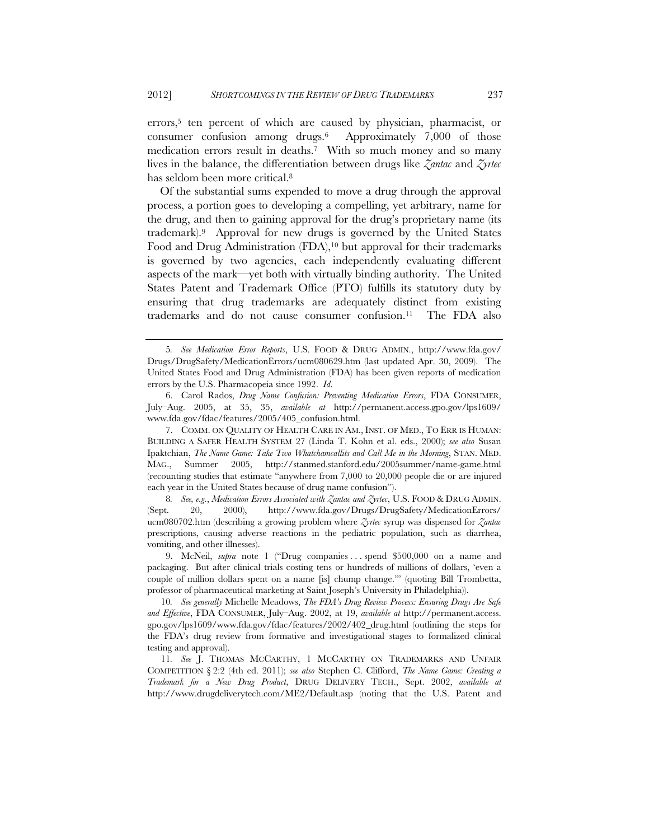errors,<sup>5</sup> ten percent of which are caused by physician, pharmacist, or consumer confusion among drugs.6 Approximately 7,000 of those medication errors result in deaths.7 With so much money and so many lives in the balance, the differentiation between drugs like *Zantac* and *Zyrtec* has seldom been more critical.8

Of the substantial sums expended to move a drug through the approval process, a portion goes to developing a compelling, yet arbitrary, name for the drug, and then to gaining approval for the drug's proprietary name (its trademark).9 Approval for new drugs is governed by the United States Food and Drug Administration (FDA),<sup>10</sup> but approval for their trademarks is governed by two agencies, each independently evaluating different aspects of the mark—yet both with virtually binding authority. The United States Patent and Trademark Office (PTO) fulfills its statutory duty by ensuring that drug trademarks are adequately distinct from existing trademarks and do not cause consumer confusion.11 The FDA also

<sup>5</sup>*. See Medication Error Reports*, U.S. FOOD & DRUG ADMIN., http://www.fda.gov/ Drugs/DrugSafety/MedicationErrors/ucm080629.htm (last updated Apr. 30, 2009). The United States Food and Drug Administration (FDA) has been given reports of medication errors by the U.S. Pharmacopeia since 1992. *Id*.

<sup>6.</sup> Carol Rados, *Drug Name Confusion: Preventing Medication Errors*, FDA CONSUMER, July–Aug. 2005, at 35, 35, *available at* http://permanent.access.gpo.gov/lps1609/ www.fda.gov/fdac/features/2005/405\_confusion.html.

<sup>7.</sup> COMM. ON QUALITY OF HEALTH CARE IN AM., INST. OF MED., TO ERR IS HUMAN: BUILDING A SAFER HEALTH SYSTEM 27 (Linda T. Kohn et al. eds., 2000); *see also* Susan Ipaktchian, *The Name Game: Take Two Whatchamcallits and Call Me in the Morning*, STAN. MED.<br>MAG., Summer 2005, http://stanmed.stanford.edu/2005summer/name-game.html MAG., Summer 2005, http://stanmed.stanford.edu/2005summer/name-game.html (recounting studies that estimate "anywhere from 7,000 to 20,000 people die or are injured each year in the United States because of drug name confusion").

<sup>8</sup>*. See, e.g.*, *Medication Errors Associated with Zantac and Zyrtec*, U.S. FOOD & DRUG ADMIN. (Sept. 20, 2000), http://www.fda.gov/Drugs/DrugSafety/MedicationErrors/ ucm080702.htm (describing a growing problem where *Zyrtec* syrup was dispensed for *Zantac* prescriptions, causing adverse reactions in the pediatric population, such as diarrhea, vomiting, and other illnesses).

<sup>9.</sup> McNeil, *supra* note 1 ("Drug companies . . . spend \$500,000 on a name and packaging. But after clinical trials costing tens or hundreds of millions of dollars, 'even a couple of million dollars spent on a name [is] chump change.'" (quoting Bill Trombetta, professor of pharmaceutical marketing at Saint Joseph's University in Philadelphia)).

<sup>10</sup>*. See generally* Michelle Meadows, *The FDA's Drug Review Process: Ensuring Drugs Are Safe and Effective*, FDA CONSUMER, July–Aug. 2002, at 19, *available at* http://permanent.access. gpo.gov/lps1609/www.fda.gov/fdac/features/2002/402\_drug.html (outlining the steps for the FDA's drug review from formative and investigational stages to formalized clinical testing and approval).

<sup>11</sup>*. See* J. THOMAS MCCARTHY, 1 MCCARTHY ON TRADEMARKS AND UNFAIR COMPETITION § 2:2 (4th ed. 2011); *see also* Stephen C. Clifford, *The Name Game: Creating a Trademark for a New Drug Product*, DRUG DELIVERY TECH., Sept. 2002, *available at*  http://www.drugdeliverytech.com/ME2/Default.asp (noting that the U.S. Patent and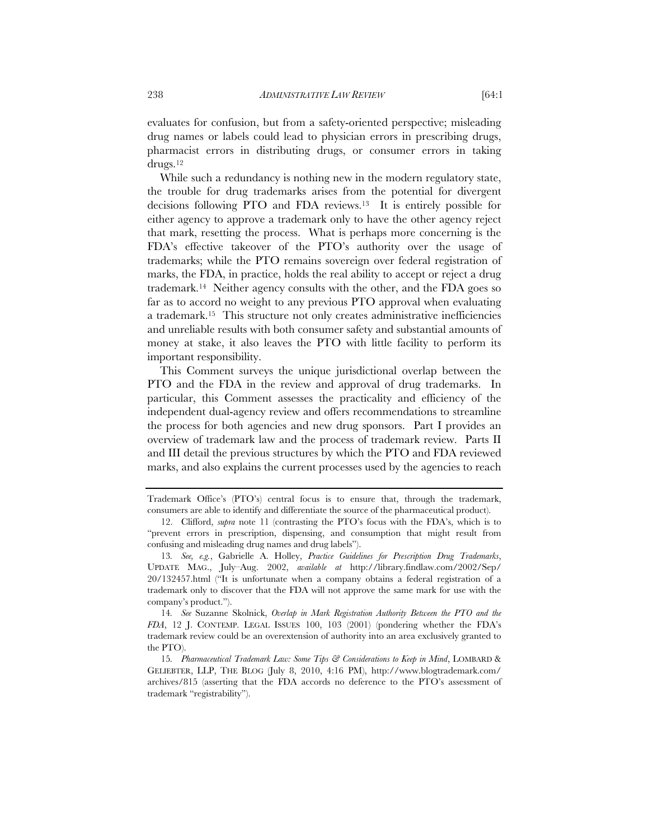evaluates for confusion, but from a safety-oriented perspective; misleading drug names or labels could lead to physician errors in prescribing drugs, pharmacist errors in distributing drugs, or consumer errors in taking drugs.12

While such a redundancy is nothing new in the modern regulatory state, the trouble for drug trademarks arises from the potential for divergent decisions following PTO and FDA reviews.13 It is entirely possible for either agency to approve a trademark only to have the other agency reject that mark, resetting the process. What is perhaps more concerning is the FDA's effective takeover of the PTO's authority over the usage of trademarks; while the PTO remains sovereign over federal registration of marks, the FDA, in practice, holds the real ability to accept or reject a drug trademark.14 Neither agency consults with the other, and the FDA goes so far as to accord no weight to any previous PTO approval when evaluating a trademark.15 This structure not only creates administrative inefficiencies and unreliable results with both consumer safety and substantial amounts of money at stake, it also leaves the PTO with little facility to perform its important responsibility.

This Comment surveys the unique jurisdictional overlap between the PTO and the FDA in the review and approval of drug trademarks. In particular, this Comment assesses the practicality and efficiency of the independent dual-agency review and offers recommendations to streamline the process for both agencies and new drug sponsors. Part I provides an overview of trademark law and the process of trademark review. Parts II and III detail the previous structures by which the PTO and FDA reviewed marks, and also explains the current processes used by the agencies to reach

Trademark Office's (PTO's) central focus is to ensure that, through the trademark, consumers are able to identify and differentiate the source of the pharmaceutical product).

<sup>12.</sup> Clifford, *supra* note 11 (contrasting the PTO's focus with the FDA's, which is to "prevent errors in prescription, dispensing, and consumption that might result from confusing and misleading drug names and drug labels").

<sup>13</sup>*. See, e.g.*, Gabrielle A. Holley, *Practice Guidelines for Prescription Drug Trademarks*, UPDATE MAG., July–Aug. 2002, *available at* http://library.findlaw.com/2002/Sep/ 20/132457.html ("It is unfortunate when a company obtains a federal registration of a trademark only to discover that the FDA will not approve the same mark for use with the company's product.").

<sup>14</sup>*. See* Suzanne Skolnick, *Overlap in Mark Registration Authority Between the PTO and the FDA*, 12 J. CONTEMP. LEGAL ISSUES 100, 103 (2001) (pondering whether the FDA's trademark review could be an overextension of authority into an area exclusively granted to the PTO).

<sup>15</sup>*. Pharmaceutical Trademark Law: Some Tips & Considerations to Keep in Mind*, LOMBARD & GELIEBTER, LLP, THE BLOG (July 8, 2010, 4:16 PM), http://www.blogtrademark.com/ archives/815 (asserting that the FDA accords no deference to the PTO's assessment of trademark "registrability").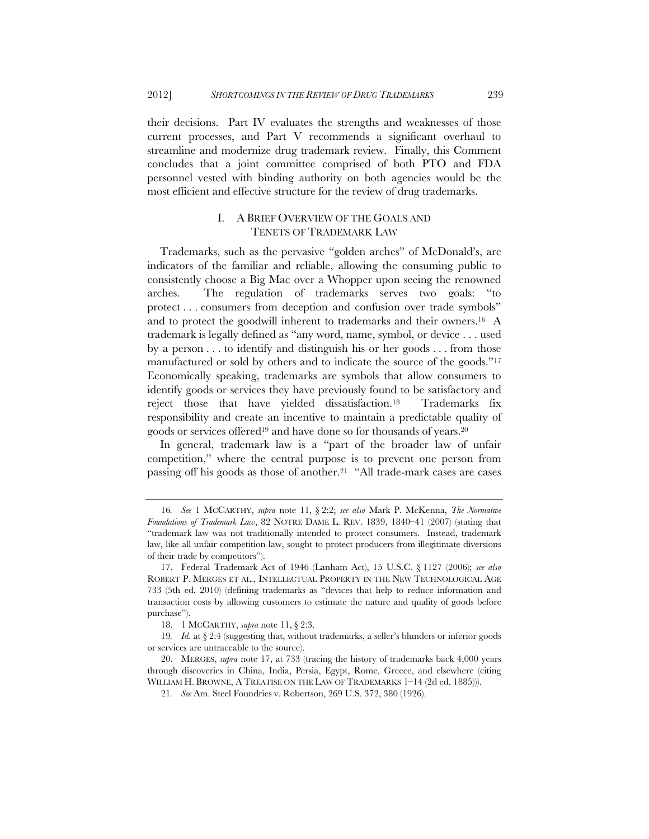their decisions. Part IV evaluates the strengths and weaknesses of those current processes, and Part V recommends a significant overhaul to streamline and modernize drug trademark review. Finally, this Comment concludes that a joint committee comprised of both PTO and FDA personnel vested with binding authority on both agencies would be the most efficient and effective structure for the review of drug trademarks.

# I. A BRIEF OVERVIEW OF THE GOALS AND TENETS OF TRADEMARK LAW

Trademarks, such as the pervasive "golden arches" of McDonald's, are indicators of the familiar and reliable, allowing the consuming public to consistently choose a Big Mac over a Whopper upon seeing the renowned arches. The regulation of trademarks serves two goals: "to protect . . . consumers from deception and confusion over trade symbols" and to protect the goodwill inherent to trademarks and their owners.16 A trademark is legally defined as "any word, name, symbol, or device . . . used by a person . . . to identify and distinguish his or her goods . . . from those manufactured or sold by others and to indicate the source of the goods."17 Economically speaking, trademarks are symbols that allow consumers to identify goods or services they have previously found to be satisfactory and reject those that have yielded dissatisfaction.18 Trademarks fix responsibility and create an incentive to maintain a predictable quality of goods or services offered19 and have done so for thousands of years.20

In general, trademark law is a "part of the broader law of unfair competition," where the central purpose is to prevent one person from passing off his goods as those of another.<sup>21</sup> "All trade-mark cases are cases

<sup>16</sup>*. See* 1 MCCARTHY, *supra* note 11, § 2:2; *see also* Mark P. McKenna, *The Normative Foundations of Trademark Law*, 82 NOTRE DAME L. REV. 1839, 1840–41 (2007) (stating that "trademark law was not traditionally intended to protect consumers. Instead, trademark law, like all unfair competition law, sought to protect producers from illegitimate diversions of their trade by competitors").

<sup>17.</sup> Federal Trademark Act of 1946 (Lanham Act), 15 U.S.C. § 1127 (2006); *see also* ROBERT P. MERGES ET AL., INTELLECTUAL PROPERTY IN THE NEW TECHNOLOGICAL AGE 733 (5th ed. 2010) (defining trademarks as "devices that help to reduce information and transaction costs by allowing customers to estimate the nature and quality of goods before purchase").

<sup>18. 1</sup> MCCARTHY, *supra* note 11, § 2:3.

<sup>19</sup>*. Id.* at § 2:4 (suggesting that, without trademarks, a seller's blunders or inferior goods or services are untraceable to the source).

<sup>20.</sup> MERGES, *supra* note 17, at 733 (tracing the history of trademarks back 4,000 years through discoveries in China, India, Persia, Egypt, Rome, Greece, and elsewhere (citing WILLIAM H. BROWNE, A TREATISE ON THE LAW OF TRADEMARKS 1–14 (2d ed. 1885))).

<sup>21</sup>*. See* Am. Steel Foundries v. Robertson, 269 U.S. 372, 380 (1926).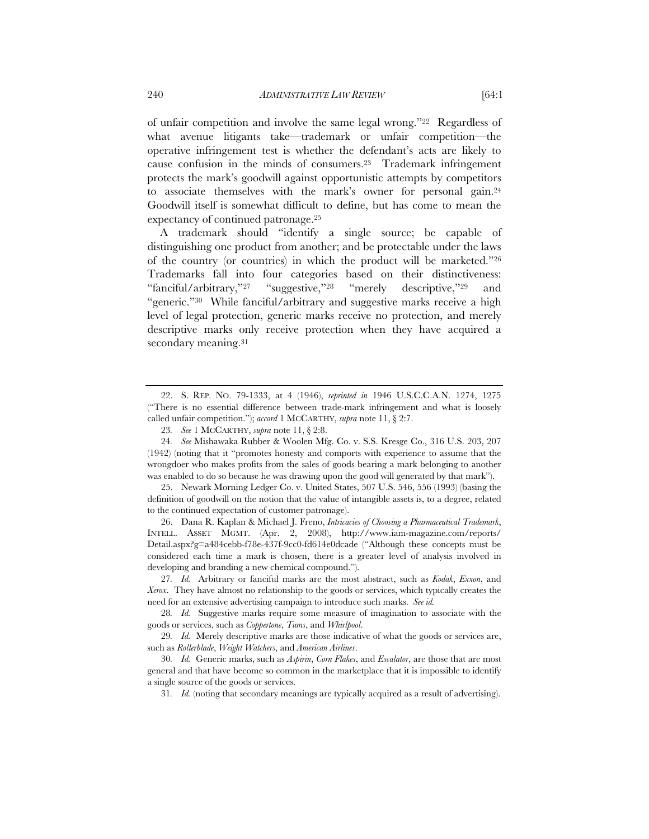of unfair competition and involve the same legal wrong."22 Regardless of what avenue litigants take—trademark or unfair competition—the operative infringement test is whether the defendant's acts are likely to cause confusion in the minds of consumers.23 Trademark infringement protects the mark's goodwill against opportunistic attempts by competitors to associate themselves with the mark's owner for personal gain.24 Goodwill itself is somewhat difficult to define, but has come to mean the expectancy of continued patronage.25

A trademark should "identify a single source; be capable of distinguishing one product from another; and be protectable under the laws of the country (or countries) in which the product will be marketed."26 Trademarks fall into four categories based on their distinctiveness: "fanciful/arbitrary,"27 "suggestive,"28 "merely descriptive,"29 and "generic."30 While fanciful/arbitrary and suggestive marks receive a high level of legal protection, generic marks receive no protection, and merely descriptive marks only receive protection when they have acquired a secondary meaning.<sup>31</sup>

26. Dana R. Kaplan & Michael J. Freno, *Intricacies of Choosing a Pharmaceutical Trademark*, INTELL. ASSET MGMT. (Apr. 2, 2008), http://www.iam-magazine.com/reports/ Detail.aspx?g=a484cebb-f78e-437f-9cc0-fd614e0dcade ("Although these concepts must be considered each time a mark is chosen, there is a greater level of analysis involved in developing and branding a new chemical compound.").

<sup>22.</sup> S. REP. NO. 79-1333, at 4 (1946), *reprinted in* 1946 U.S.C.C.A.N. 1274, 1275 ("There is no essential difference between trade-mark infringement and what is loosely called unfair competition."); *accord* 1 MCCARTHY, *supra* note 11, § 2:7.

<sup>23</sup>*. See* 1 MCCARTHY, *supra* note 11, § 2:8.

<sup>24</sup>*. See* Mishawaka Rubber & Woolen Mfg. Co. v. S.S. Kresge Co., 316 U.S. 203, 207 (1942) (noting that it "promotes honesty and comports with experience to assume that the wrongdoer who makes profits from the sales of goods bearing a mark belonging to another was enabled to do so because he was drawing upon the good will generated by that mark").

<sup>25.</sup> Newark Morning Ledger Co. v. United States, 507 U.S. 546, 556 (1993) (basing the definition of goodwill on the notion that the value of intangible assets is, to a degree, related to the continued expectation of customer patronage).

<sup>27</sup>*. Id.* Arbitrary or fanciful marks are the most abstract, such as *Kodak*, *Exxon*, and *Xerox*. They have almost no relationship to the goods or services, which typically creates the need for an extensive advertising campaign to introduce such marks. *See id.*

<sup>28</sup>*. Id.* Suggestive marks require some measure of imagination to associate with the goods or services, such as *Coppertone*, *Tums*, and *Whirlpool*.

<sup>29</sup>*. Id.* Merely descriptive marks are those indicative of what the goods or services are, such as *Rollerblade*, *Weight Watchers*, and *American Airlines*.

<sup>30</sup>*. Id.* Generic marks, such as *Aspirin*, *Corn Flakes*, and *Escalator*, are those that are most general and that have become so common in the marketplace that it is impossible to identify a single source of the goods or services.

<sup>31</sup>*. Id.* (noting that secondary meanings are typically acquired as a result of advertising).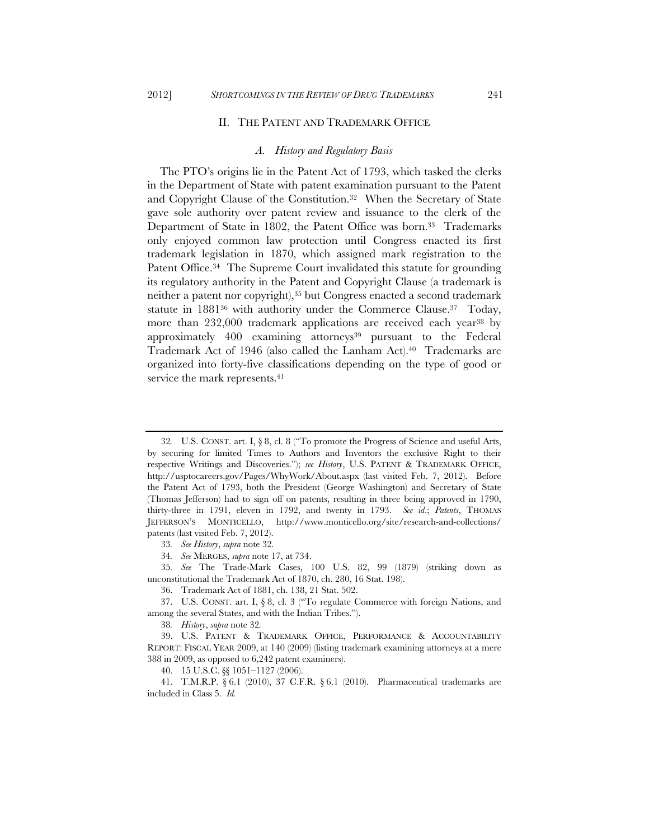#### II. THE PATENT AND TRADEMARK OFFICE

#### *A. History and Regulatory Basis*

The PTO's origins lie in the Patent Act of 1793, which tasked the clerks in the Department of State with patent examination pursuant to the Patent and Copyright Clause of the Constitution.32 When the Secretary of State gave sole authority over patent review and issuance to the clerk of the Department of State in 1802, the Patent Office was born.<sup>33</sup> Trademarks only enjoyed common law protection until Congress enacted its first trademark legislation in 1870, which assigned mark registration to the Patent Office.<sup>34</sup> The Supreme Court invalidated this statute for grounding its regulatory authority in the Patent and Copyright Clause (a trademark is neither a patent nor copyright),<sup>35</sup> but Congress enacted a second trademark statute in 188136 with authority under the Commerce Clause.37 Today, more than 232,000 trademark applications are received each year<sup>38</sup> by approximately 400 examining attorneys<sup>39</sup> pursuant to the Federal Trademark Act of 1946 (also called the Lanham Act).40 Trademarks are organized into forty-five classifications depending on the type of good or service the mark represents.<sup>41</sup>

<sup>32</sup>*.* U.S. CONST. art. I, § 8, cl. 8 ("To promote the Progress of Science and useful Arts, by securing for limited Times to Authors and Inventors the exclusive Right to their respective Writings and Discoveries."); *see History*, U.S. PATENT & TRADEMARK OFFICE, http://usptocareers.gov/Pages/WhyWork/About.aspx (last visited Feb. 7, 2012). Before the Patent Act of 1793, both the President (George Washington) and Secretary of State (Thomas Jefferson) had to sign off on patents, resulting in three being approved in 1790, thirty-three in 1791, eleven in 1792, and twenty in 1793. *See id*.; *Patents*, THOMAS JEFFERSON'S MONTICELLO, http://www.monticello.org/site/research-and-collections/ patents (last visited Feb. 7, 2012).

<sup>33</sup>*. See History*, *supra* note 32*.*

<sup>34</sup>*. See* MERGES, *supra* note 17, at 734.

<sup>35</sup>*. See* The Trade-Mark Cases, 100 U.S. 82, 99 (1879) (striking down as unconstitutional the Trademark Act of 1870, ch. 280, 16 Stat. 198).

<sup>36.</sup> Trademark Act of 1881, ch. 138, 21 Stat. 502.

<sup>37.</sup> U.S. CONST. art. I, § 8, cl. 3 ("To regulate Commerce with foreign Nations, and among the several States, and with the Indian Tribes.").

<sup>38</sup>*. History*, *supra* note 32*.*

<sup>39.</sup> U.S. PATENT & TRADEMARK OFFICE, PERFORMANCE & ACCOUNTABILITY REPORT: FISCAL YEAR 2009, at 140 (2009) (listing trademark examining attorneys at a mere 388 in 2009, as opposed to 6,242 patent examiners).

<sup>40. 15</sup> U.S.C. §§ 1051–1127 (2006).

<sup>41.</sup> T.M.R.P. § 6.1 (2010), 37 C.F.R. § 6.1 (2010). Pharmaceutical trademarks are included in Class 5. *Id.*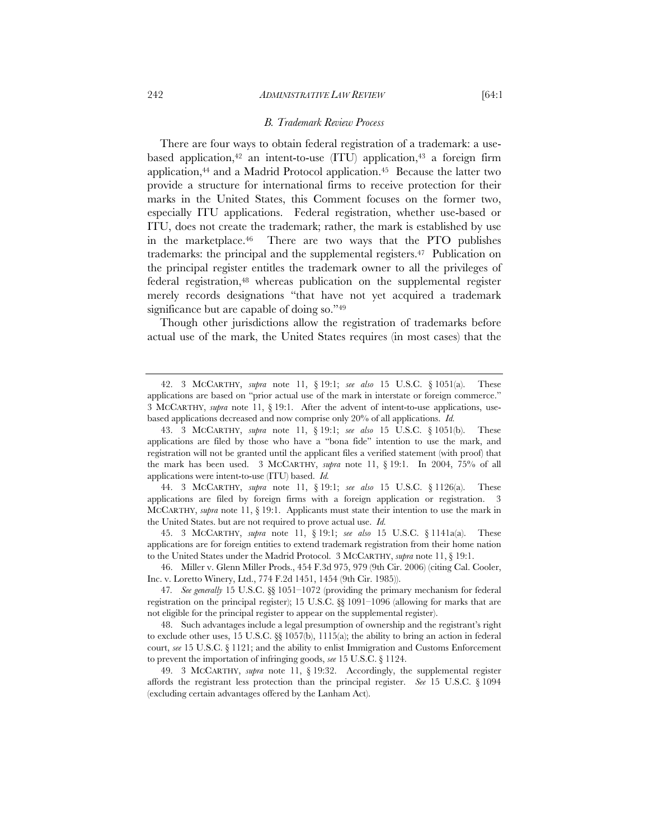#### *B. Trademark Review Process*

There are four ways to obtain federal registration of a trademark: a usebased application,<sup>42</sup> an intent-to-use (ITU) application,<sup>43</sup> a foreign firm application, $44$  and a Madrid Protocol application. $45$  Because the latter two provide a structure for international firms to receive protection for their marks in the United States, this Comment focuses on the former two, especially ITU applications. Federal registration, whether use-based or ITU, does not create the trademark; rather, the mark is established by use in the marketplace.46 There are two ways that the PTO publishes trademarks: the principal and the supplemental registers.47 Publication on the principal register entitles the trademark owner to all the privileges of federal registration,48 whereas publication on the supplemental register merely records designations "that have not yet acquired a trademark significance but are capable of doing so."49

Though other jurisdictions allow the registration of trademarks before actual use of the mark, the United States requires (in most cases) that the

44. 3 MCCARTHY, *supra* note 11, § 19:1; *see also* 15 U.S.C. § 1126(a). These applications are filed by foreign firms with a foreign application or registration. 3 MCCARTHY, *supra* note 11, § 19:1. Applicants must state their intention to use the mark in the United States. but are not required to prove actual use. *Id.*

45. 3 MCCARTHY, *supra* note 11, § 19:1; *see also* 15 U.S.C. § 1141a(a). These applications are for foreign entities to extend trademark registration from their home nation to the United States under the Madrid Protocol. 3 MCCARTHY, *supra* note 11, § 19:1.

46. Miller v. Glenn Miller Prods., 454 F.3d 975, 979 (9th Cir. 2006) (citing Cal. Cooler, Inc. v. Loretto Winery, Ltd., 774 F.2d 1451, 1454 (9th Cir. 1985)).

48. Such advantages include a legal presumption of ownership and the registrant's right to exclude other uses, 15 U.S.C.  $\&$  1057(b), 1115(a); the ability to bring an action in federal court, *see* 15 U.S.C. § 1121; and the ability to enlist Immigration and Customs Enforcement to prevent the importation of infringing goods, *see* 15 U.S.C. § 1124.

49. 3 MCCARTHY, *supra* note 11, § 19:32. Accordingly, the supplemental register affords the registrant less protection than the principal register. *See* 15 U.S.C. § 1094 (excluding certain advantages offered by the Lanham Act).

<sup>42. 3</sup> MCCARTHY, *supra* note 11, § 19:1; *see also* 15 U.S.C. § 1051(a). These applications are based on "prior actual use of the mark in interstate or foreign commerce." 3 MCCARTHY, *supra* note 11, § 19:1. After the advent of intent-to-use applications, usebased applications decreased and now comprise only 20% of all applications. *Id.*

<sup>43. 3</sup> MCCARTHY, *supra* note 11, § 19:1; *see also* 15 U.S.C. § 1051(b). These applications are filed by those who have a "bona fide" intention to use the mark, and registration will not be granted until the applicant files a verified statement (with proof) that the mark has been used. 3 MCCARTHY, *supra* note 11, § 19:1. In 2004, 75% of all applications were intent-to-use (ITU) based. *Id.*

<sup>47</sup>*. See generally* 15 U.S.C. §§ 1051–1072 (providing the primary mechanism for federal registration on the principal register); 15 U.S.C. §§ 1091–1096 (allowing for marks that are not eligible for the principal register to appear on the supplemental register).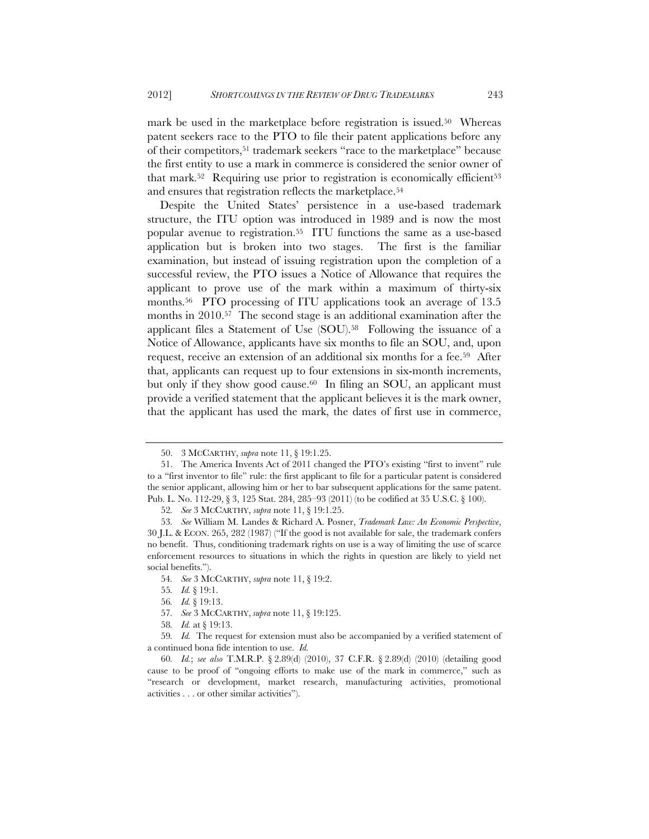mark be used in the marketplace before registration is issued.<sup>50</sup> Whereas patent seekers race to the PTO to file their patent applications before any of their competitors,51 trademark seekers "race to the marketplace" because the first entity to use a mark in commerce is considered the senior owner of that mark.<sup>52</sup> Requiring use prior to registration is economically efficient<sup>53</sup> and ensures that registration reflects the marketplace.54

Despite the United States' persistence in a use-based trademark structure, the ITU option was introduced in 1989 and is now the most popular avenue to registration.55 ITU functions the same as a use-based application but is broken into two stages. The first is the familiar examination, but instead of issuing registration upon the completion of a successful review, the PTO issues a Notice of Allowance that requires the applicant to prove use of the mark within a maximum of thirty-six months.56 PTO processing of ITU applications took an average of 13.5 months in 2010.57 The second stage is an additional examination after the applicant files a Statement of Use (SOU).58 Following the issuance of a Notice of Allowance, applicants have six months to file an SOU, and, upon request, receive an extension of an additional six months for a fee.59 After that, applicants can request up to four extensions in six-month increments, but only if they show good cause.<sup>60</sup> In filing an SOU, an applicant must provide a verified statement that the applicant believes it is the mark owner, that the applicant has used the mark, the dates of first use in commerce,

<sup>50. 3</sup> MCCARTHY, *supra* note 11, § 19:1.25.

<sup>51.</sup> The America Invents Act of 2011 changed the PTO's existing "first to invent" rule to a "first inventor to file" rule: the first applicant to file for a particular patent is considered the senior applicant, allowing him or her to bar subsequent applications for the same patent. Pub. L. No. 112-29, § 3, 125 Stat. 284, 285–93 (2011) (to be codified at 35 U.S.C. § 100).

<sup>52</sup>*. See* 3 MCCARTHY, *supra* note 11, § 19:1.25.

<sup>53</sup>*. See* William M. Landes & Richard A. Posner, *Trademark Law: An Economic Perspective*, 30 J.L. & ECON. 265, 282 (1987) ("If the good is not available for sale, the trademark confers no benefit. Thus, conditioning trademark rights on use is a way of limiting the use of scarce enforcement resources to situations in which the rights in question are likely to yield net social benefits.").

<sup>54</sup>*. See* 3 MCCARTHY, *supra* note 11, § 19:2.

<sup>55</sup>*. Id.* § 19:1.

<sup>56</sup>*. Id.* § 19:13.

<sup>57</sup>*. See* 3 MCCARTHY, *supra* note 11, § 19:125.

<sup>58</sup>*. Id.* at § 19:13.

<sup>59</sup>*. Id.* The request for extension must also be accompanied by a verified statement of a continued bona fide intention to use. *Id.*

<sup>60</sup>*. Id.*; *see also* T.M.R.P. § 2.89(d) (2010), 37 C.F.R. § 2.89(d) (2010) (detailing good cause to be proof of "ongoing efforts to make use of the mark in commerce," such as "research or development, market research, manufacturing activities, promotional activities . . . or other similar activities").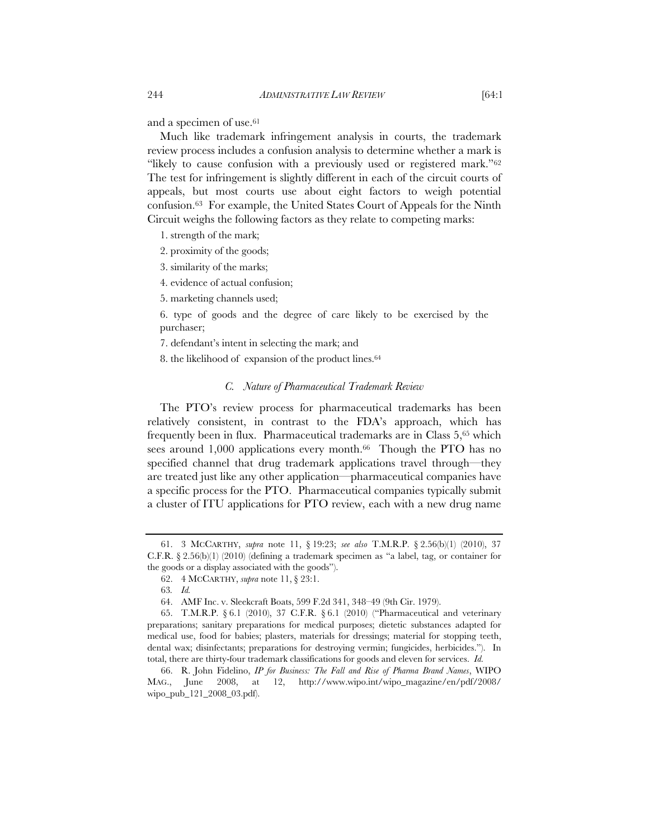and a specimen of use.61

Much like trademark infringement analysis in courts, the trademark review process includes a confusion analysis to determine whether a mark is "likely to cause confusion with a previously used or registered mark."<sup>62</sup> The test for infringement is slightly different in each of the circuit courts of appeals, but most courts use about eight factors to weigh potential confusion.63 For example, the United States Court of Appeals for the Ninth Circuit weighs the following factors as they relate to competing marks:

1. strength of the mark;

- 2. proximity of the goods;
- 3. similarity of the marks;
- 4. evidence of actual confusion;

5. marketing channels used;

6. type of goods and the degree of care likely to be exercised by the purchaser;

7. defendant's intent in selecting the mark; and

8. the likelihood of expansion of the product lines.64

# *C. Nature of Pharmaceutical Trademark Review*

The PTO's review process for pharmaceutical trademarks has been relatively consistent, in contrast to the FDA's approach, which has frequently been in flux. Pharmaceutical trademarks are in Class 5,65 which sees around 1,000 applications every month.<sup>66</sup> Though the PTO has no specified channel that drug trademark applications travel through—they are treated just like any other application—pharmaceutical companies have a specific process for the PTO. Pharmaceutical companies typically submit a cluster of ITU applications for PTO review, each with a new drug name

<sup>61. 3</sup> MCCARTHY, *supra* note 11, § 19:23; *see also* T.M.R.P. § 2.56(b)(1) (2010), 37 C.F.R.  $\S 2.56(b)(1)$  (2010) (defining a trademark specimen as "a label, tag, or container for the goods or a display associated with the goods").

<sup>62. 4</sup> MCCARTHY, *supra* note 11, § 23:1.

<sup>63</sup>*. Id.*

<sup>64.</sup> AMF Inc. v. Sleekcraft Boats, 599 F.2d 341, 348–49 (9th Cir. 1979).

<sup>65.</sup> T.M.R.P. § 6.1 (2010), 37 C.F.R. § 6.1 (2010) ("Pharmaceutical and veterinary preparations; sanitary preparations for medical purposes; dietetic substances adapted for medical use, food for babies; plasters, materials for dressings; material for stopping teeth, dental wax; disinfectants; preparations for destroying vermin; fungicides, herbicides."). In total, there are thirty-four trademark classifications for goods and eleven for services. *Id.*

<sup>66.</sup> R. John Fidelino, *IP for Business: The Fall and Rise of Pharma Brand Names*, WIPO MAG., June 2008, at 12, http://www.wipo.int/wipo\_magazine/en/pdf/2008/ wipo\_pub\_121\_2008\_03.pdf).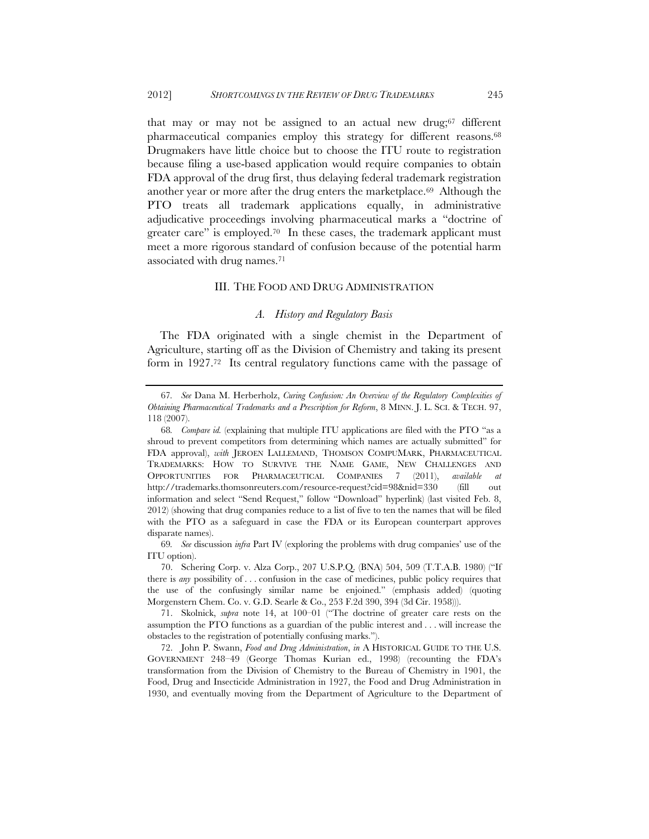that may or may not be assigned to an actual new drug;67 different pharmaceutical companies employ this strategy for different reasons.68 Drugmakers have little choice but to choose the ITU route to registration because filing a use-based application would require companies to obtain FDA approval of the drug first, thus delaying federal trademark registration another year or more after the drug enters the marketplace.69 Although the PTO treats all trademark applications equally, in administrative adjudicative proceedings involving pharmaceutical marks a "doctrine of greater care" is employed.<sup>70</sup> In these cases, the trademark applicant must meet a more rigorous standard of confusion because of the potential harm associated with drug names.71

# III. THE FOOD AND DRUG ADMINISTRATION

# *A. History and Regulatory Basis*

The FDA originated with a single chemist in the Department of Agriculture, starting off as the Division of Chemistry and taking its present form in 1927.72 Its central regulatory functions came with the passage of

<sup>67</sup>*. See* Dana M. Herberholz, *Curing Confusion: An Overview of the Regulatory Complexities of Obtaining Pharmaceutical Trademarks and a Prescription for Reform*, 8 MINN. J. L. SCI. & TECH. 97, 118 (2007).

<sup>68</sup>*. Compare id.* (explaining that multiple ITU applications are filed with the PTO "as a shroud to prevent competitors from determining which names are actually submitted" for FDA approval), *with* JEROEN LALLEMAND, THOMSON COMPUMARK, PHARMACEUTICAL TRADEMARKS: HOW TO SURVIVE THE NAME GAME, NEW CHALLENGES AND OPPORTUNITIES FOR PHARMACEUTICAL COMPANIES 7 (2011), *available at* http://trademarks.thomsonreuters.com/resource-request?cid=98&nid=330 (fill out information and select "Send Request," follow "Download" hyperlink) (last visited Feb. 8, 2012) (showing that drug companies reduce to a list of five to ten the names that will be filed with the PTO as a safeguard in case the FDA or its European counterpart approves disparate names).

<sup>69</sup>*. See* discussion *infra* Part IV (exploring the problems with drug companies' use of the ITU option).

<sup>70.</sup> Schering Corp. v. Alza Corp., 207 U.S.P.Q. (BNA) 504, 509 (T.T.A.B. 1980) ("If there is *any* possibility of . . . confusion in the case of medicines, public policy requires that the use of the confusingly similar name be enjoined." (emphasis added) (quoting Morgenstern Chem. Co. v. G.D. Searle & Co., 253 F.2d 390, 394 (3d Cir. 1958))).

<sup>71.</sup> Skolnick, *supra* note 14, at 100–01 ("The doctrine of greater care rests on the assumption the PTO functions as a guardian of the public interest and . . . will increase the obstacles to the registration of potentially confusing marks.").

<sup>72.</sup> John P. Swann, *Food and Drug Administration*, *in* A HISTORICAL GUIDE TO THE U.S. GOVERNMENT 248–49 (George Thomas Kurian ed., 1998) (recounting the FDA's transformation from the Division of Chemistry to the Bureau of Chemistry in 1901, the Food, Drug and Insecticide Administration in 1927, the Food and Drug Administration in 1930, and eventually moving from the Department of Agriculture to the Department of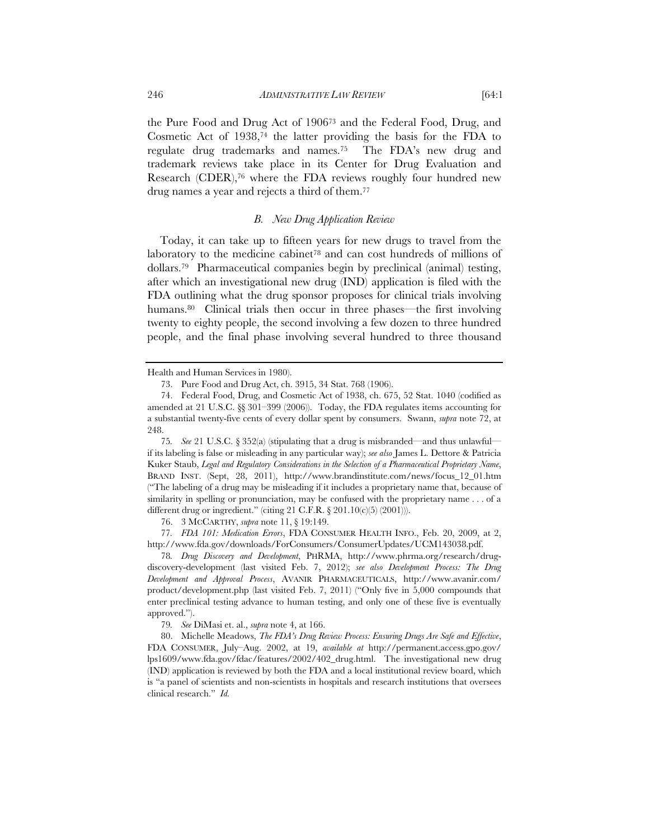the Pure Food and Drug Act of 190673 and the Federal Food, Drug, and Cosmetic Act of  $1938<sup>74</sup>$  the latter providing the basis for the FDA to regulate drug trademarks and names.75 The FDA's new drug and trademark reviews take place in its Center for Drug Evaluation and Research (CDER),76 where the FDA reviews roughly four hundred new drug names a year and rejects a third of them.77

# *B. New Drug Application Review*

Today, it can take up to fifteen years for new drugs to travel from the laboratory to the medicine cabinet<sup>78</sup> and can cost hundreds of millions of dollars.79 Pharmaceutical companies begin by preclinical (animal) testing, after which an investigational new drug (IND) application is filed with the FDA outlining what the drug sponsor proposes for clinical trials involving humans.<sup>80</sup> Clinical trials then occur in three phases—the first involving twenty to eighty people, the second involving a few dozen to three hundred people, and the final phase involving several hundred to three thousand

75*. See* 21 U.S.C. § 352(a) (stipulating that a drug is misbranded—and thus unlawful if its labeling is false or misleading in any particular way); *see also* James L. Dettore & Patricia Kuker Staub, *Legal and Regulatory Considerations in the Selection of a Pharmaceutical Proprietary Name*, BRAND INST. (Sept, 28, 2011), http://www.brandinstitute.com/news/focus\_12\_01.htm ("The labeling of a drug may be misleading if it includes a proprietary name that, because of similarity in spelling or pronunciation, may be confused with the proprietary name . . . of a different drug or ingredient." (citing 21 C.F.R.  $\S 201.10(c)(5) (2001)$ ).

76. 3 MCCARTHY, *supra* note 11, § 19:149.

77*. FDA 101: Medication Errors*, FDA CONSUMER HEALTH INFO., Feb. 20, 2009, at 2, http://www.fda.gov/downloads/ForConsumers/ConsumerUpdates/UCM143038.pdf.

78*. Drug Discovery and Development*, PHRMA, http://www.phrma.org/research/drugdiscovery-development (last visited Feb. 7, 2012); *see also Development Process: The Drug Development and Approval Process*, AVANIR PHARMACEUTICALS, http://www.avanir.com/ product/development.php (last visited Feb. 7, 2011) ("Only five in 5,000 compounds that enter preclinical testing advance to human testing, and only one of these five is eventually approved.").

79*. See* DiMasi et. al., *supra* note 4, at 166.

80. Michelle Meadows, *The FDA's Drug Review Process: Ensuring Drugs Are Safe and Effective*, FDA CONSUMER, July–Aug. 2002, at 19, *available at* http://permanent.access.gpo.gov/ lps1609/www.fda.gov/fdac/features/2002/402\_drug.html. The investigational new drug (IND) application is reviewed by both the FDA and a local institutional review board, which is "a panel of scientists and non-scientists in hospitals and research institutions that oversees clinical research." *Id.*

Health and Human Services in 1980).

<sup>73.</sup> Pure Food and Drug Act, ch. 3915, 34 Stat. 768 (1906).

<sup>74.</sup> Federal Food, Drug, and Cosmetic Act of 1938, ch. 675, 52 Stat. 1040 (codified as amended at 21 U.S.C. §§ 301–399 (2006)). Today, the FDA regulates items accounting for a substantial twenty-five cents of every dollar spent by consumers. Swann, *supra* note 72, at 248.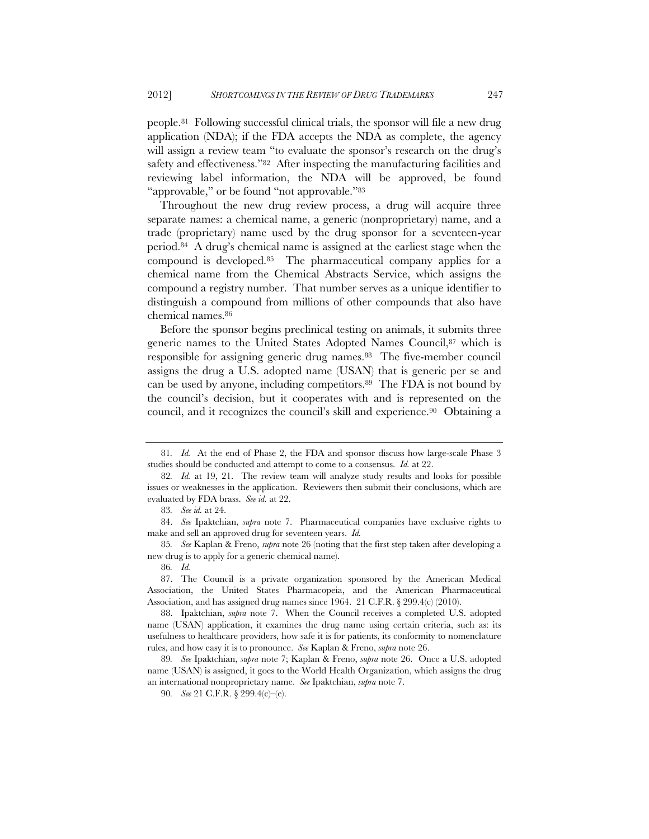people.81 Following successful clinical trials, the sponsor will file a new drug application (NDA); if the FDA accepts the NDA as complete, the agency will assign a review team "to evaluate the sponsor's research on the drug's safety and effectiveness."<sup>82</sup> After inspecting the manufacturing facilities and reviewing label information, the NDA will be approved, be found "approvable," or be found "not approvable."83

Throughout the new drug review process, a drug will acquire three separate names: a chemical name, a generic (nonproprietary) name, and a trade (proprietary) name used by the drug sponsor for a seventeen-year period.84 A drug's chemical name is assigned at the earliest stage when the compound is developed.85 The pharmaceutical company applies for a chemical name from the Chemical Abstracts Service, which assigns the compound a registry number. That number serves as a unique identifier to distinguish a compound from millions of other compounds that also have chemical names.86

Before the sponsor begins preclinical testing on animals, it submits three generic names to the United States Adopted Names Council,<sup>87</sup> which is responsible for assigning generic drug names.88 The five-member council assigns the drug a U.S. adopted name (USAN) that is generic per se and can be used by anyone, including competitors.<sup>89</sup> The FDA is not bound by the council's decision, but it cooperates with and is represented on the council, and it recognizes the council's skill and experience.90 Obtaining a

85*. See* Kaplan & Freno, *supra* note 26 (noting that the first step taken after developing a new drug is to apply for a generic chemical name).

86*. Id.*

<sup>81</sup>*. Id.* At the end of Phase 2, the FDA and sponsor discuss how large-scale Phase 3 studies should be conducted and attempt to come to a consensus. *Id.* at 22.

<sup>82</sup>*. Id.* at 19, 21. The review team will analyze study results and looks for possible issues or weaknesses in the application. Reviewers then submit their conclusions, which are evaluated by FDA brass. *See id.* at 22.

<sup>83</sup>*. See id.* at 24.

<sup>84.</sup> *See* Ipaktchian, *supra* note 7. Pharmaceutical companies have exclusive rights to make and sell an approved drug for seventeen years. *Id.*

<sup>87.</sup> The Council is a private organization sponsored by the American Medical Association, the United States Pharmacopeia, and the American Pharmaceutical Association, and has assigned drug names since 1964. 21 C.F.R. § 299.4(c) (2010).

<sup>88.</sup> Ipaktchian, *supra* note 7. When the Council receives a completed U.S. adopted name (USAN) application, it examines the drug name using certain criteria, such as: its usefulness to healthcare providers, how safe it is for patients, its conformity to nomenclature rules, and how easy it is to pronounce. *See* Kaplan & Freno, *supra* note 26.

<sup>89</sup>*. See* Ipaktchian, *supra* note 7; Kaplan & Freno, *supra* note 26. Once a U.S. adopted name (USAN) is assigned, it goes to the World Health Organization, which assigns the drug an international nonproprietary name. *See* Ipaktchian, *supra* note 7.

<sup>90</sup>*. See* 21 C.F.R. § 299.4(c)–(e).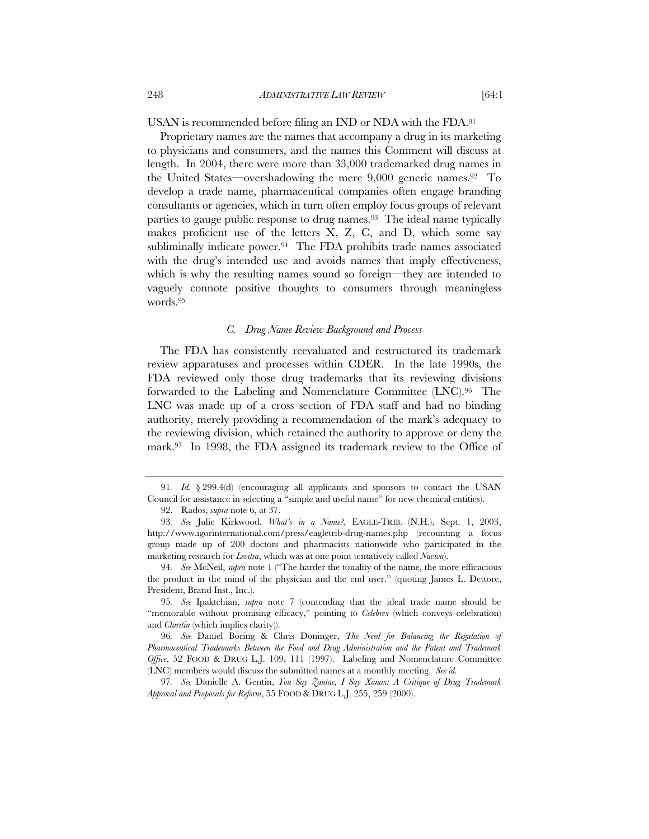USAN is recommended before filing an IND or NDA with the FDA.91

Proprietary names are the names that accompany a drug in its marketing to physicians and consumers, and the names this Comment will discuss at length. In 2004, there were more than 33,000 trademarked drug names in the United States—overshadowing the mere 9,000 generic names.92 To develop a trade name, pharmaceutical companies often engage branding consultants or agencies, which in turn often employ focus groups of relevant parties to gauge public response to drug names.<sup>93</sup> The ideal name typically makes proficient use of the letters X, Z, C, and D, which some say subliminally indicate power.<sup>94</sup> The FDA prohibits trade names associated with the drug's intended use and avoids names that imply effectiveness, which is why the resulting names sound so foreign—they are intended to vaguely connote positive thoughts to consumers through meaningless words.95

### *C. Drug Name Review Background and Process*

The FDA has consistently reevaluated and restructured its trademark review apparatuses and processes within CDER. In the late 1990s, the FDA reviewed only those drug trademarks that its reviewing divisions forwarded to the Labeling and Nomenclature Committee (LNC).96 The LNC was made up of a cross section of FDA staff and had no binding authority, merely providing a recommendation of the mark's adequacy to the reviewing division, which retained the authority to approve or deny the mark.97 In 1998, the FDA assigned its trademark review to the Office of

<sup>91</sup>*. Id.* § 299.4(d) (encouraging all applicants and sponsors to contact the USAN Council for assistance in selecting a "simple and useful name" for new chemical entities).

<sup>92.</sup> Rados, *supra* note 6, at 37.

<sup>93</sup>*. See* Julie Kirkwood, *What's in a Name?*, EAGLE-TRIB. (N.H.), Sept. 1, 2003, http://www.igorinternational.com/press/eagletrib-drug-names.php (recounting a focus group made up of 200 doctors and pharmacists nationwide who participated in the marketing research for *Levitra*, which was at one point tentatively called *Nuviva*).

<sup>94</sup>*. See* McNeil, *supra* note 1 ("The harder the tonality of the name, the more efficacious the product in the mind of the physician and the end user." (quoting James L. Dettore, President, Brand Inst., Inc.).

<sup>95</sup>*. See* Ipaktchian, *supra* note 7 (contending that the ideal trade name should be "memorable without promising efficacy," pointing to *Celebrex* (which conveys celebration) and *Claritin* (which implies clarity)).

<sup>96</sup>*. See* Daniel Boring & Chris Doninger, *The Need for Balancing the Regulation of Pharmaceutical Trademarks Between the Food and Drug Administration and the Patent and Trademark Office*, 52 FOOD & DRUG L.J. 109, 111 (1997). Labeling and Nomenclature Committee (LNC) members would discuss the submitted names at a monthly meeting. *See id.*

<sup>97</sup>*. See* Danielle A. Gentin, *You Say Zantac, I Say Xanax: A Critique of Drug Trademark Approval and Proposals for Reform*, 55 FOOD & DRUG L.J. 255, 259 (2000).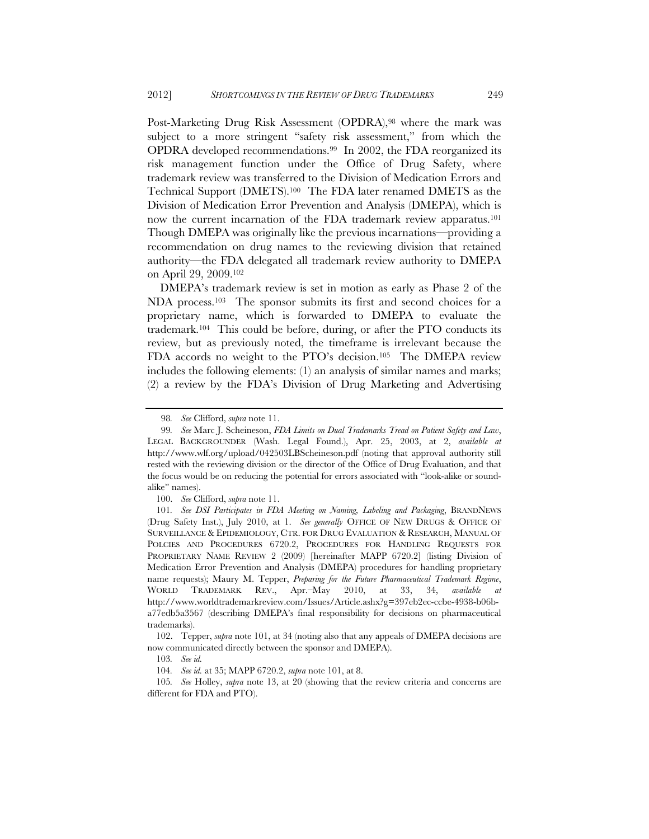Post-Marketing Drug Risk Assessment (OPDRA),<sup>98</sup> where the mark was subject to a more stringent "safety risk assessment," from which the OPDRA developed recommendations.99 In 2002, the FDA reorganized its risk management function under the Office of Drug Safety, where trademark review was transferred to the Division of Medication Errors and Technical Support (DMETS).100 The FDA later renamed DMETS as the Division of Medication Error Prevention and Analysis (DMEPA), which is now the current incarnation of the FDA trademark review apparatus.<sup>101</sup> Though DMEPA was originally like the previous incarnations—providing a recommendation on drug names to the reviewing division that retained authority—the FDA delegated all trademark review authority to DMEPA on April 29, 2009.102

DMEPA's trademark review is set in motion as early as Phase 2 of the NDA process.103 The sponsor submits its first and second choices for a proprietary name, which is forwarded to DMEPA to evaluate the trademark.<sup>104</sup> This could be before, during, or after the PTO conducts its review, but as previously noted, the timeframe is irrelevant because the FDA accords no weight to the PTO's decision.105 The DMEPA review includes the following elements: (1) an analysis of similar names and marks; (2) a review by the FDA's Division of Drug Marketing and Advertising

100. *See* Clifford, *supra* note 11.

<sup>98</sup>*. See* Clifford, *supra* note 11.

<sup>99</sup>*. See* Marc J. Scheineson, *FDA Limits on Dual Trademarks Tread on Patient Safety and Law*, LEGAL BACKGROUNDER (Wash. Legal Found.), Apr. 25, 2003, at 2, *available at*  http://www.wlf.org/upload/042503LBScheineson.pdf (noting that approval authority still rested with the reviewing division or the director of the Office of Drug Evaluation, and that the focus would be on reducing the potential for errors associated with "look-alike or soundalike" names).

<sup>101</sup>*. See DSI Participates in FDA Meeting on Naming, Labeling and Packaging*, BRANDNEWS (Drug Safety Inst.), July 2010, at 1. *See generally* OFFICE OF NEW DRUGS & OFFICE OF SURVEILLANCE & EPIDEMIOLOGY, CTR. FOR DRUG EVALUATION & RESEARCH, MANUAL OF POLCIES AND PROCEDURES 6720.2, PROCEDURES FOR HANDLING REQUESTS FOR PROPRIETARY NAME REVIEW 2 (2009) [hereinafter MAPP 6720.2] (listing Division of Medication Error Prevention and Analysis (DMEPA) procedures for handling proprietary name requests); Maury M. Tepper, *Preparing for the Future Pharmaceutical Trademark Regime*, WORLD TRADEMARK REV., Apr.–May 2010, at 33, 34, *available at*  http://www.worldtrademarkreview.com/Issues/Article.ashx?g=397eb2ec-ccbe-4938-b06ba77edb5a3567 (describing DMEPA's final responsibility for decisions on pharmaceutical trademarks).

 <sup>102.</sup> Tepper, *supra* note 101, at 34 (noting also that any appeals of DMEPA decisions are now communicated directly between the sponsor and DMEPA).

<sup>103</sup>*. See id.*

<sup>104</sup>*. See id.* at 35; MAPP 6720.2, *supra* note 101, at 8.

<sup>105</sup>*. See* Holley, *supra* note 13, at 20 (showing that the review criteria and concerns are different for FDA and PTO).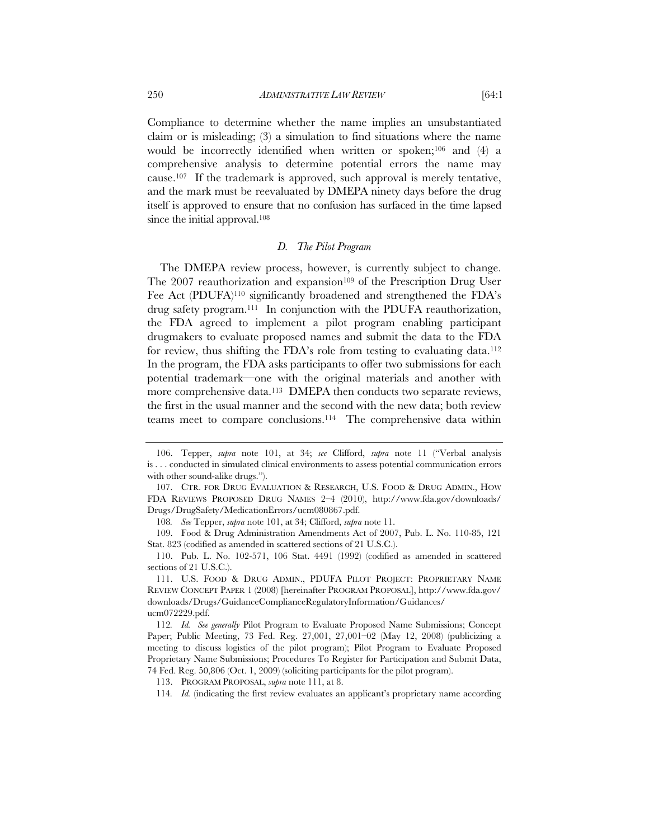Compliance to determine whether the name implies an unsubstantiated claim or is misleading;  $(3)$  a simulation to find situations where the name would be incorrectly identified when written or spoken;<sup>106</sup> and (4) a comprehensive analysis to determine potential errors the name may cause.107 If the trademark is approved, such approval is merely tentative, and the mark must be reevaluated by DMEPA ninety days before the drug itself is approved to ensure that no confusion has surfaced in the time lapsed since the initial approval.<sup>108</sup>

# *D. The Pilot Program*

The DMEPA review process, however, is currently subject to change. The 2007 reauthorization and expansion<sup>109</sup> of the Prescription Drug User Fee Act (PDUFA)110 significantly broadened and strengthened the FDA's drug safety program.111 In conjunction with the PDUFA reauthorization, the FDA agreed to implement a pilot program enabling participant drugmakers to evaluate proposed names and submit the data to the FDA for review, thus shifting the FDA's role from testing to evaluating data.112 In the program, the FDA asks participants to offer two submissions for each potential trademark—one with the original materials and another with more comprehensive data.<sup>113</sup> DMEPA then conducts two separate reviews, the first in the usual manner and the second with the new data; both review teams meet to compare conclusions.114 The comprehensive data within

108*. See* Tepper, *supra* note 101, at 34; Clifford, *supra* note 11.

 109. Food & Drug Administration Amendments Act of 2007, Pub. L. No. 110-85, 121 Stat. 823 (codified as amended in scattered sections of 21 U.S.C.).

 <sup>106.</sup> Tepper, *supra* note 101, at 34; *see* Clifford, *supra* note 11 ("Verbal analysis is . . . conducted in simulated clinical environments to assess potential communication errors with other sound-alike drugs.").

 <sup>107.</sup> CTR. FOR DRUG EVALUATION & RESEARCH, U.S. FOOD & DRUG ADMIN., HOW FDA REVIEWS PROPOSED DRUG NAMES 2–4 (2010), http://www.fda.gov/downloads/ Drugs/DrugSafety/MedicationErrors/ucm080867.pdf.

<sup>110.</sup> Pub. L. No. 102-571, 106 Stat. 4491 (1992) (codified as amended in scattered sections of 21 U.S.C.).

 <sup>111.</sup> U.S. FOOD & DRUG ADMIN., PDUFA PILOT PROJECT: PROPRIETARY NAME REVIEW CONCEPT PAPER 1 (2008) [hereinafter PROGRAM PROPOSAL], http://www.fda.gov/ downloads/Drugs/GuidanceComplianceRegulatoryInformation/Guidances/ ucm072229.pdf.

<sup>112</sup>*. Id. See generally* Pilot Program to Evaluate Proposed Name Submissions; Concept Paper; Public Meeting, 73 Fed. Reg. 27,001, 27,001–02 (May 12, 2008) (publicizing a meeting to discuss logistics of the pilot program); Pilot Program to Evaluate Proposed Proprietary Name Submissions; Procedures To Register for Participation and Submit Data, 74 Fed. Reg. 50,806 (Oct. 1, 2009) (soliciting participants for the pilot program).

 <sup>113.</sup> PROGRAM PROPOSAL, *supra* note 111, at 8.

<sup>114</sup>*. Id.* (indicating the first review evaluates an applicant's proprietary name according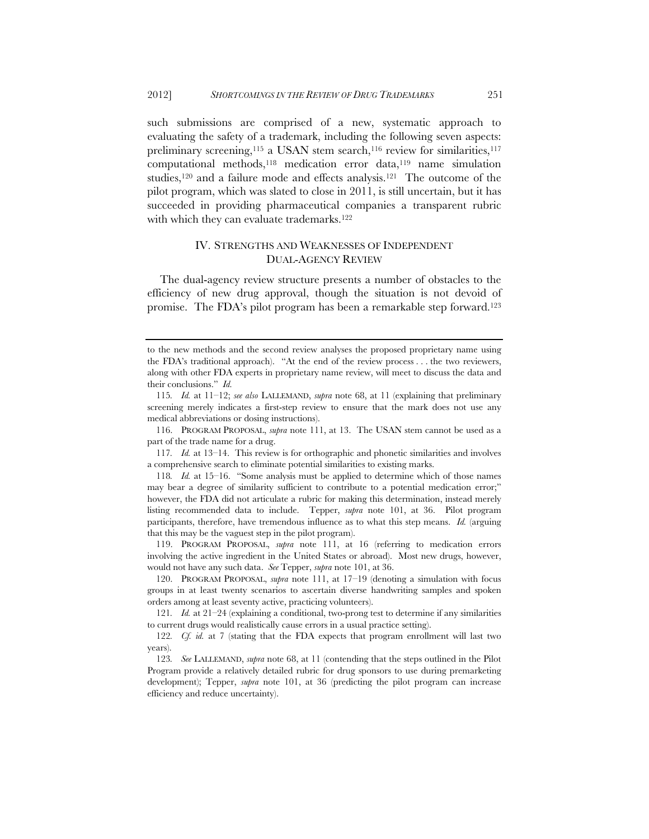such submissions are comprised of a new, systematic approach to evaluating the safety of a trademark, including the following seven aspects: preliminary screening,<sup>115</sup> a USAN stem search,<sup>116</sup> review for similarities,<sup>117</sup> computational methods,118 medication error data,119 name simulation studies,120 and a failure mode and effects analysis.121 The outcome of the pilot program, which was slated to close in 2011, is still uncertain, but it has succeeded in providing pharmaceutical companies a transparent rubric with which they can evaluate trademarks.<sup>122</sup>

# IV. STRENGTHS AND WEAKNESSES OF INDEPENDENT DUAL-AGENCY REVIEW

The dual-agency review structure presents a number of obstacles to the efficiency of new drug approval, though the situation is not devoid of promise. The FDA's pilot program has been a remarkable step forward.123

to the new methods and the second review analyses the proposed proprietary name using the FDA's traditional approach). "At the end of the review process . . . the two reviewers, along with other FDA experts in proprietary name review, will meet to discuss the data and their conclusions." *Id.*

<sup>115</sup>*. Id.* at 11–12; *see also* LALLEMAND, *supra* note 68, at 11 (explaining that preliminary screening merely indicates a first-step review to ensure that the mark does not use any medical abbreviations or dosing instructions).

 <sup>116.</sup> PROGRAM PROPOSAL, *supra* note 111, at 13. The USAN stem cannot be used as a part of the trade name for a drug.

<sup>117</sup>*. Id.* at 13–14. This review is for orthographic and phonetic similarities and involves a comprehensive search to eliminate potential similarities to existing marks.

<sup>118</sup>*. Id.* at 15–16. "Some analysis must be applied to determine which of those names may bear a degree of similarity sufficient to contribute to a potential medication error;" however, the FDA did not articulate a rubric for making this determination, instead merely listing recommended data to include. Tepper, *supra* note 101, at 36. Pilot program participants, therefore, have tremendous influence as to what this step means. *Id.* (arguing that this may be the vaguest step in the pilot program).

 <sup>119.</sup> PROGRAM PROPOSAL, *supra* note 111, at 16 (referring to medication errors involving the active ingredient in the United States or abroad). Most new drugs, however, would not have any such data. *See* Tepper, *supra* note 101, at 36.

 <sup>120.</sup> PROGRAM PROPOSAL, *supra* note 111, at 17–19 (denoting a simulation with focus groups in at least twenty scenarios to ascertain diverse handwriting samples and spoken orders among at least seventy active, practicing volunteers).

<sup>121</sup>*. Id.* at 21–24 (explaining a conditional, two-prong test to determine if any similarities to current drugs would realistically cause errors in a usual practice setting).

<sup>122</sup>*. Cf. id.* at 7 (stating that the FDA expects that program enrollment will last two years).

<sup>123</sup>*. See* LALLEMAND, *supra* note 68, at 11 (contending that the steps outlined in the Pilot Program provide a relatively detailed rubric for drug sponsors to use during premarketing development); Tepper, *supra* note 101, at 36 (predicting the pilot program can increase efficiency and reduce uncertainty).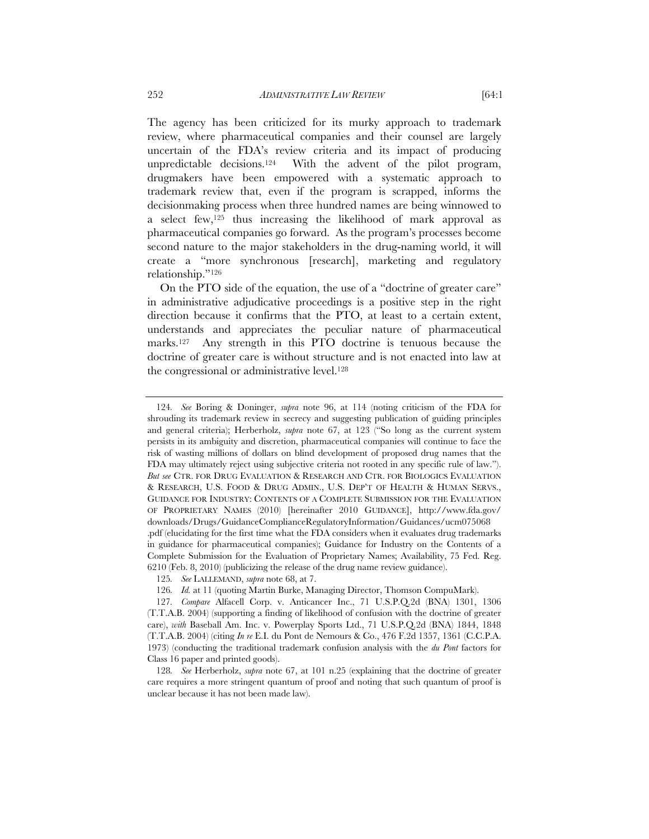The agency has been criticized for its murky approach to trademark review, where pharmaceutical companies and their counsel are largely uncertain of the FDA's review criteria and its impact of producing unpredictable decisions.<sup>124</sup> With the advent of the pilot program, drugmakers have been empowered with a systematic approach to trademark review that, even if the program is scrapped, informs the decisionmaking process when three hundred names are being winnowed to a select few,125 thus increasing the likelihood of mark approval as pharmaceutical companies go forward. As the program's processes become second nature to the major stakeholders in the drug-naming world, it will create a "more synchronous [research], marketing and regulatory relationship."126

On the PTO side of the equation, the use of a "doctrine of greater care" in administrative adjudicative proceedings is a positive step in the right direction because it confirms that the PTO, at least to a certain extent, understands and appreciates the peculiar nature of pharmaceutical marks.127 Any strength in this PTO doctrine is tenuous because the doctrine of greater care is without structure and is not enacted into law at the congressional or administrative level.128

<sup>124</sup>*. See* Boring & Doninger, *supra* note 96, at 114 (noting criticism of the FDA for shrouding its trademark review in secrecy and suggesting publication of guiding principles and general criteria); Herberholz, *supra* note 67, at 123 ("So long as the current system persists in its ambiguity and discretion, pharmaceutical companies will continue to face the risk of wasting millions of dollars on blind development of proposed drug names that the FDA may ultimately reject using subjective criteria not rooted in any specific rule of law."). *But see* CTR. FOR DRUG EVALUATION & RESEARCH AND CTR. FOR BIOLOGICS EVALUATION & RESEARCH, U.S. FOOD & DRUG ADMIN., U.S. DEP'T OF HEALTH & HUMAN SERVS., GUIDANCE FOR INDUSTRY: CONTENTS OF A COMPLETE SUBMISSION FOR THE EVALUATION OF PROPRIETARY NAMES (2010) [hereinafter 2010 GUIDANCE], http://www.fda.gov/ downloads/Drugs/GuidanceComplianceRegulatoryInformation/Guidances/ucm075068 .pdf (elucidating for the first time what the FDA considers when it evaluates drug trademarks in guidance for pharmaceutical companies); Guidance for Industry on the Contents of a Complete Submission for the Evaluation of Proprietary Names; Availability, 75 Fed. Reg. 6210 (Feb. 8, 2010) (publicizing the release of the drug name review guidance).

<sup>125</sup>*. See* LALLEMAND, *supra* note 68, at 7.

<sup>126</sup>*. Id.* at 11 (quoting Martin Burke, Managing Director, Thomson CompuMark).

<sup>127</sup>*. Compare* Alfacell Corp. v. Anticancer Inc., 71 U.S.P.Q.2d (BNA) 1301, 1306 (T.T.A.B. 2004) (supporting a finding of likelihood of confusion with the doctrine of greater care), *with* Baseball Am. Inc. v. Powerplay Sports Ltd., 71 U.S.P.Q.2d (BNA) 1844, 1848 (T.T.A.B. 2004) (citing *In re* E.I. du Pont de Nemours & Co., 476 F.2d 1357, 1361 (C.C.P.A. 1973) (conducting the traditional trademark confusion analysis with the *du Pont* factors for Class 16 paper and printed goods).

<sup>128</sup>*. See* Herberholz, *supra* note 67, at 101 n.25 (explaining that the doctrine of greater care requires a more stringent quantum of proof and noting that such quantum of proof is unclear because it has not been made law).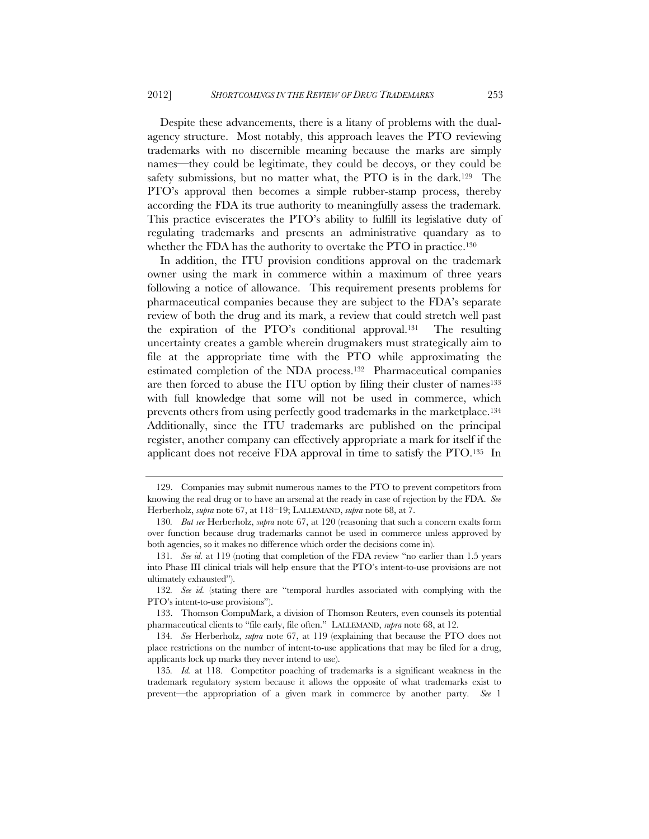Despite these advancements, there is a litany of problems with the dualagency structure. Most notably, this approach leaves the PTO reviewing trademarks with no discernible meaning because the marks are simply names—they could be legitimate, they could be decoys, or they could be safety submissions, but no matter what, the PTO is in the dark.<sup>129</sup> The PTO's approval then becomes a simple rubber-stamp process, thereby according the FDA its true authority to meaningfully assess the trademark. This practice eviscerates the PTO's ability to fulfill its legislative duty of regulating trademarks and presents an administrative quandary as to whether the FDA has the authority to overtake the PTO in practice.<sup>130</sup>

In addition, the ITU provision conditions approval on the trademark owner using the mark in commerce within a maximum of three years following a notice of allowance. This requirement presents problems for pharmaceutical companies because they are subject to the FDA's separate review of both the drug and its mark, a review that could stretch well past the expiration of the PTO's conditional approval.131 The resulting uncertainty creates a gamble wherein drugmakers must strategically aim to file at the appropriate time with the PTO while approximating the estimated completion of the NDA process.132 Pharmaceutical companies are then forced to abuse the ITU option by filing their cluster of names<sup>133</sup> with full knowledge that some will not be used in commerce, which prevents others from using perfectly good trademarks in the marketplace.134 Additionally, since the ITU trademarks are published on the principal register, another company can effectively appropriate a mark for itself if the applicant does not receive FDA approval in time to satisfy the PTO.135 In

 <sup>129.</sup> Companies may submit numerous names to the PTO to prevent competitors from knowing the real drug or to have an arsenal at the ready in case of rejection by the FDA. *See* Herberholz, *supra* note 67, at 118–19; LALLEMAND, *supra* note 68, at 7.

<sup>130</sup>*. But see* Herberholz, *supra* note 67, at 120 (reasoning that such a concern exalts form over function because drug trademarks cannot be used in commerce unless approved by both agencies, so it makes no difference which order the decisions come in).

<sup>131</sup>*. See id.* at 119 (noting that completion of the FDA review "no earlier than 1.5 years into Phase III clinical trials will help ensure that the PTO's intent-to-use provisions are not ultimately exhausted").

<sup>132</sup>*. See id.* (stating there are "temporal hurdles associated with complying with the PTO's intent-to-use provisions").

 <sup>133.</sup> Thomson CompuMark, a division of Thomson Reuters, even counsels its potential pharmaceutical clients to "file early, file often." LALLEMAND, *supra* note 68, at 12.

<sup>134</sup>*. See* Herberholz, *supra* note 67, at 119 (explaining that because the PTO does not place restrictions on the number of intent-to-use applications that may be filed for a drug, applicants lock up marks they never intend to use).

<sup>135</sup>*. Id.* at 118. Competitor poaching of trademarks is a significant weakness in the trademark regulatory system because it allows the opposite of what trademarks exist to prevent—the appropriation of a given mark in commerce by another party. *See* 1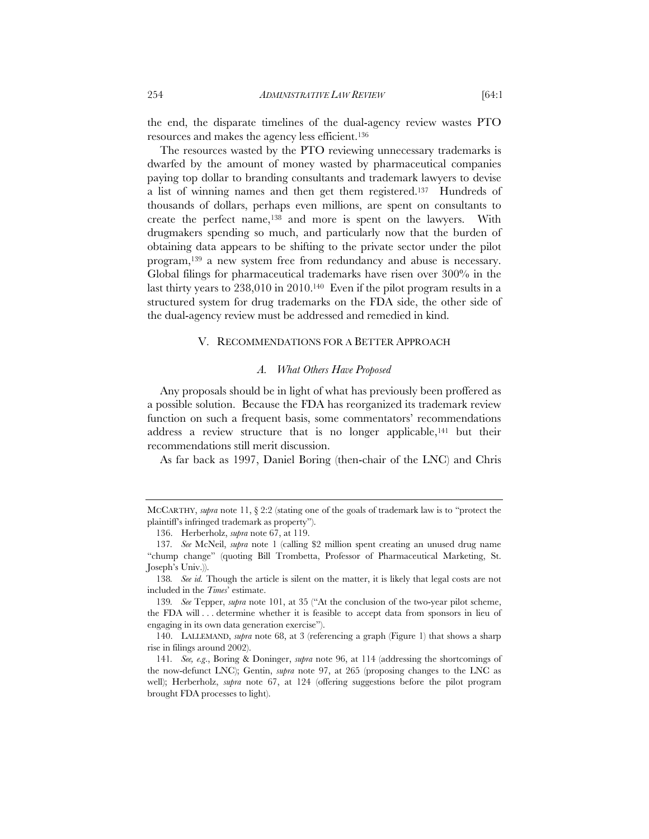the end, the disparate timelines of the dual-agency review wastes PTO resources and makes the agency less efficient.136

The resources wasted by the PTO reviewing unnecessary trademarks is dwarfed by the amount of money wasted by pharmaceutical companies paying top dollar to branding consultants and trademark lawyers to devise a list of winning names and then get them registered.137 Hundreds of thousands of dollars, perhaps even millions, are spent on consultants to create the perfect name,138 and more is spent on the lawyers. With drugmakers spending so much, and particularly now that the burden of obtaining data appears to be shifting to the private sector under the pilot program,139 a new system free from redundancy and abuse is necessary. Global filings for pharmaceutical trademarks have risen over 300% in the last thirty years to 238,010 in 2010.140 Even if the pilot program results in a structured system for drug trademarks on the FDA side, the other side of the dual-agency review must be addressed and remedied in kind.

# V. RECOMMENDATIONS FOR A BETTER APPROACH

## *A. What Others Have Proposed*

Any proposals should be in light of what has previously been proffered as a possible solution. Because the FDA has reorganized its trademark review function on such a frequent basis, some commentators' recommendations address a review structure that is no longer applicable,<sup>141</sup> but their recommendations still merit discussion.

As far back as 1997, Daniel Boring (then-chair of the LNC) and Chris

MCCARTHY, *supra* note 11, § 2:2 (stating one of the goals of trademark law is to "protect the plaintiff's infringed trademark as property").

 <sup>136.</sup> Herberholz, *supra* note 67, at 119.

<sup>137</sup>*. See* McNeil, *supra* note 1 (calling \$2 million spent creating an unused drug name "chump change" (quoting Bill Trombetta, Professor of Pharmaceutical Marketing, St. Joseph's Univ.)).

<sup>138</sup>*. See id.* Though the article is silent on the matter, it is likely that legal costs are not included in the *Times*' estimate.

<sup>139</sup>*. See* Tepper, *supra* note 101, at 35 ("At the conclusion of the two-year pilot scheme, the FDA will . . . determine whether it is feasible to accept data from sponsors in lieu of engaging in its own data generation exercise").

 <sup>140.</sup> LALLEMAND, *supra* note 68, at 3 (referencing a graph (Figure 1) that shows a sharp rise in filings around 2002).

<sup>141</sup>*. See, e.g*., Boring & Doninger, *supra* note 96, at 114 (addressing the shortcomings of the now-defunct LNC); Gentin, *supra* note 97, at 265 (proposing changes to the LNC as well); Herberholz, *supra* note 67, at 124 (offering suggestions before the pilot program brought FDA processes to light).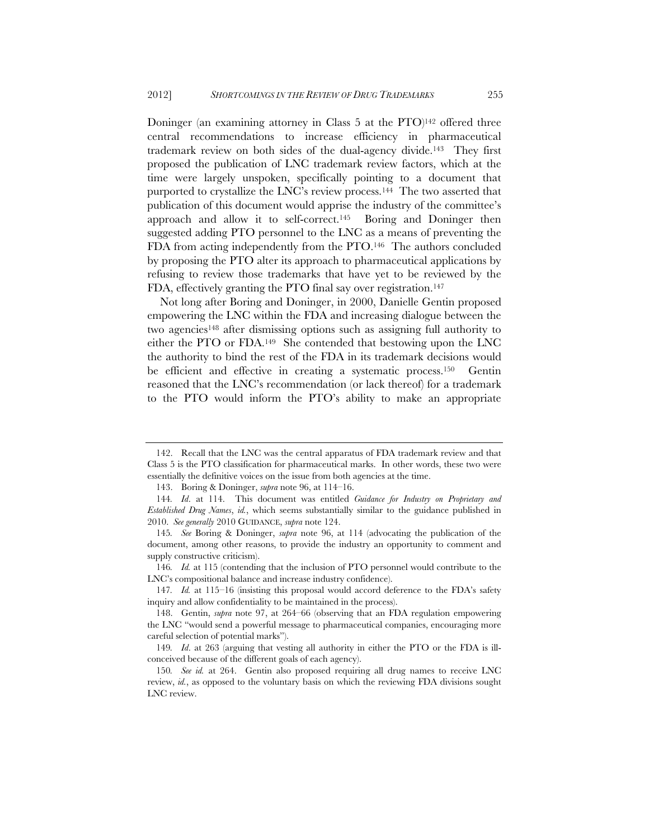Doninger (an examining attorney in Class 5 at the PTO)<sup>142</sup> offered three central recommendations to increase efficiency in pharmaceutical trademark review on both sides of the dual-agency divide.143 They first proposed the publication of LNC trademark review factors, which at the time were largely unspoken, specifically pointing to a document that purported to crystallize the LNC's review process.<sup>144</sup> The two asserted that publication of this document would apprise the industry of the committee's approach and allow it to self-correct.145 Boring and Doninger then suggested adding PTO personnel to the LNC as a means of preventing the FDA from acting independently from the PTO.146 The authors concluded by proposing the PTO alter its approach to pharmaceutical applications by refusing to review those trademarks that have yet to be reviewed by the FDA, effectively granting the PTO final say over registration.<sup>147</sup>

Not long after Boring and Doninger, in 2000, Danielle Gentin proposed empowering the LNC within the FDA and increasing dialogue between the two agencies148 after dismissing options such as assigning full authority to either the PTO or FDA.149 She contended that bestowing upon the LNC the authority to bind the rest of the FDA in its trademark decisions would be efficient and effective in creating a systematic process.<sup>150</sup> Gentin reasoned that the LNC's recommendation (or lack thereof) for a trademark to the PTO would inform the PTO's ability to make an appropriate

 <sup>142.</sup> Recall that the LNC was the central apparatus of FDA trademark review and that Class 5 is the PTO classification for pharmaceutical marks. In other words, these two were essentially the definitive voices on the issue from both agencies at the time.

<sup>143.</sup> Boring & Doninger, *supra* note 96, at 114–16.

<sup>144</sup>*. Id*. at 114. This document was entitled *Guidance for Industry on Proprietary and Established Drug Names*, *id.*, which seems substantially similar to the guidance published in 2010. *See generally* 2010 GUIDANCE, *supra* note 124.

<sup>145</sup>*. See* Boring & Doninger, *supra* note 96, at 114 (advocating the publication of the document, among other reasons, to provide the industry an opportunity to comment and supply constructive criticism).

<sup>146</sup>*. Id.* at 115 (contending that the inclusion of PTO personnel would contribute to the LNC's compositional balance and increase industry confidence).

<sup>147</sup>*. Id.* at 115–16 (insisting this proposal would accord deference to the FDA's safety inquiry and allow confidentiality to be maintained in the process).

 <sup>148.</sup> Gentin, *supra* note 97, at 264–66 (observing that an FDA regulation empowering the LNC "would send a powerful message to pharmaceutical companies, encouraging more careful selection of potential marks").

<sup>149</sup>*. Id*. at 263 (arguing that vesting all authority in either the PTO or the FDA is illconceived because of the different goals of each agency).

<sup>150</sup>*. See id.* at 264. Gentin also proposed requiring all drug names to receive LNC review, *id.*, as opposed to the voluntary basis on which the reviewing FDA divisions sought LNC review.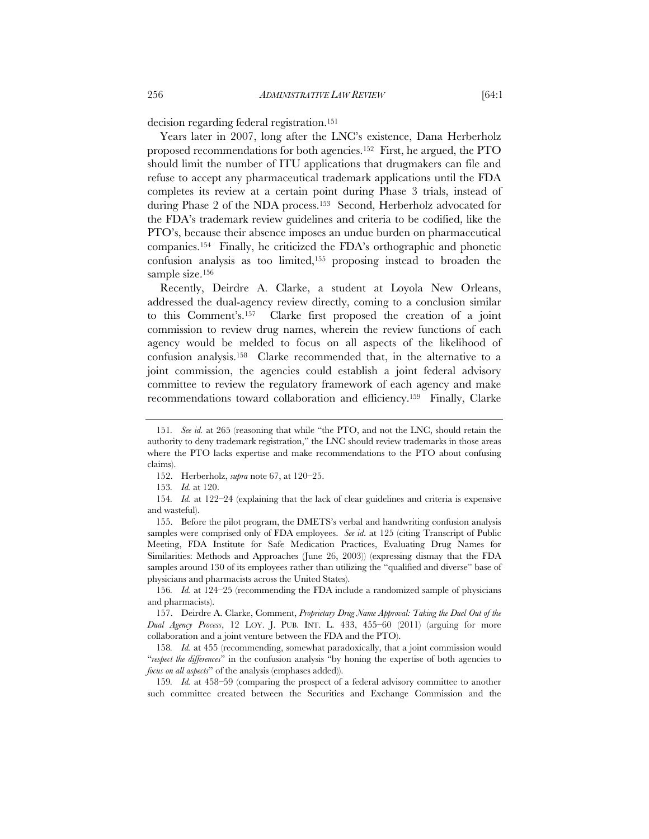decision regarding federal registration.151

Years later in 2007, long after the LNC's existence, Dana Herberholz proposed recommendations for both agencies.152 First, he argued, the PTO should limit the number of ITU applications that drugmakers can file and refuse to accept any pharmaceutical trademark applications until the FDA completes its review at a certain point during Phase 3 trials, instead of during Phase 2 of the NDA process.153 Second, Herberholz advocated for the FDA's trademark review guidelines and criteria to be codified, like the PTO's, because their absence imposes an undue burden on pharmaceutical companies.154 Finally, he criticized the FDA's orthographic and phonetic confusion analysis as too limited,155 proposing instead to broaden the sample size.<sup>156</sup>

Recently, Deirdre A. Clarke, a student at Loyola New Orleans, addressed the dual-agency review directly, coming to a conclusion similar to this Comment's.157 Clarke first proposed the creation of a joint commission to review drug names, wherein the review functions of each agency would be melded to focus on all aspects of the likelihood of confusion analysis.158 Clarke recommended that, in the alternative to a joint commission, the agencies could establish a joint federal advisory committee to review the regulatory framework of each agency and make recommendations toward collaboration and efficiency.159 Finally, Clarke

154*. Id.* at 122–24 (explaining that the lack of clear guidelines and criteria is expensive and wasteful).

 155. Before the pilot program, the DMETS's verbal and handwriting confusion analysis samples were comprised only of FDA employees. *See id*. at 125 (citing Transcript of Public Meeting, FDA Institute for Safe Medication Practices, Evaluating Drug Names for Similarities: Methods and Approaches (June 26, 2003)) (expressing dismay that the FDA samples around 130 of its employees rather than utilizing the "qualified and diverse" base of physicians and pharmacists across the United States).

156*. Id.* at 124–25 (recommending the FDA include a randomized sample of physicians and pharmacists).

 157. Deirdre A. Clarke, Comment, *Proprietary Drug Name Approval: Taking the Duel Out of the Dual Agency Process*, 12 LOY. J. PUB. INT. L. 433, 455–60 (2011) (arguing for more collaboration and a joint venture between the FDA and the PTO).

158*. Id.* at 455 (recommending, somewhat paradoxically, that a joint commission would "*respect the differences*" in the confusion analysis "by honing the expertise of both agencies to *focus on all aspects*" of the analysis (emphases added)).

159*. Id.* at 458–59 (comparing the prospect of a federal advisory committee to another such committee created between the Securities and Exchange Commission and the

<sup>151</sup>*. See id.* at 265 (reasoning that while "the PTO, and not the LNC, should retain the authority to deny trademark registration," the LNC should review trademarks in those areas where the PTO lacks expertise and make recommendations to the PTO about confusing claims).

 <sup>152.</sup> Herberholz, *supra* note 67, at 120–25.

<sup>153</sup>*. Id.* at 120.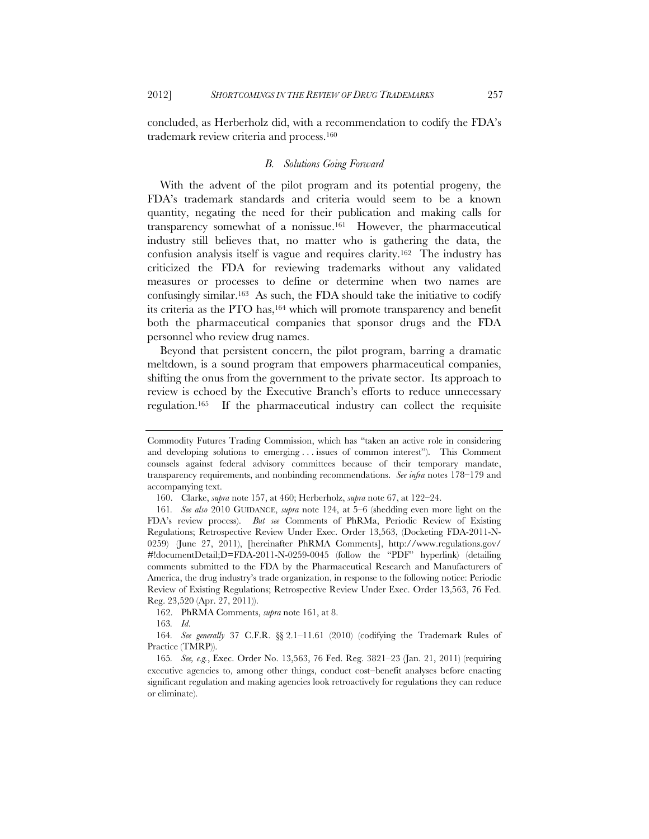concluded, as Herberholz did, with a recommendation to codify the FDA's trademark review criteria and process.160

### *B. Solutions Going Forward*

With the advent of the pilot program and its potential progeny, the FDA's trademark standards and criteria would seem to be a known quantity, negating the need for their publication and making calls for transparency somewhat of a nonissue.161 However, the pharmaceutical industry still believes that, no matter who is gathering the data, the confusion analysis itself is vague and requires clarity.162 The industry has criticized the FDA for reviewing trademarks without any validated measures or processes to define or determine when two names are confusingly similar.163 As such, the FDA should take the initiative to codify its criteria as the PTO has,164 which will promote transparency and benefit both the pharmaceutical companies that sponsor drugs and the FDA personnel who review drug names.

Beyond that persistent concern, the pilot program, barring a dramatic meltdown, is a sound program that empowers pharmaceutical companies, shifting the onus from the government to the private sector. Its approach to review is echoed by the Executive Branch's efforts to reduce unnecessary regulation.165 If the pharmaceutical industry can collect the requisite

162. PhRMA Comments, *supra* note 161, at 8.

163*. Id*.

Commodity Futures Trading Commission, which has "taken an active role in considering and developing solutions to emerging . . . issues of common interest"). This Comment counsels against federal advisory committees because of their temporary mandate, transparency requirements, and nonbinding recommendations. *See infra* notes 178–179 and accompanying text.

 <sup>160.</sup> Clarke, *supra* note 157, at 460; Herberholz, *supra* note 67, at 122–24.

<sup>161</sup>*. See also* 2010 GUIDANCE, *supra* note 124, at 5–6 (shedding even more light on the FDA's review process). *But see* Comments of PhRMa, Periodic Review of Existing Regulations; Retrospective Review Under Exec. Order 13,563, (Docketing FDA-2011-N-0259) (June 27, 2011), [hereinafter PhRMA Comments], http://www.regulations.gov/ #!documentDetail;D=FDA-2011-N-0259-0045 (follow the "PDF" hyperlink) (detailing comments submitted to the FDA by the Pharmaceutical Research and Manufacturers of America, the drug industry's trade organization, in response to the following notice: Periodic Review of Existing Regulations; Retrospective Review Under Exec. Order 13,563, 76 Fed. Reg. 23,520 (Apr. 27, 2011)).

<sup>164</sup>*. See generally* 37 C.F.R. §§ 2.1–11.61 (2010) (codifying the Trademark Rules of Practice (TMRP)).

<sup>165</sup>*. See, e.g.*, Exec. Order No. 13,563, 76 Fed. Reg. 3821–23 (Jan. 21, 2011) (requiring executive agencies to, among other things, conduct cost-benefit analyses before enacting significant regulation and making agencies look retroactively for regulations they can reduce or eliminate).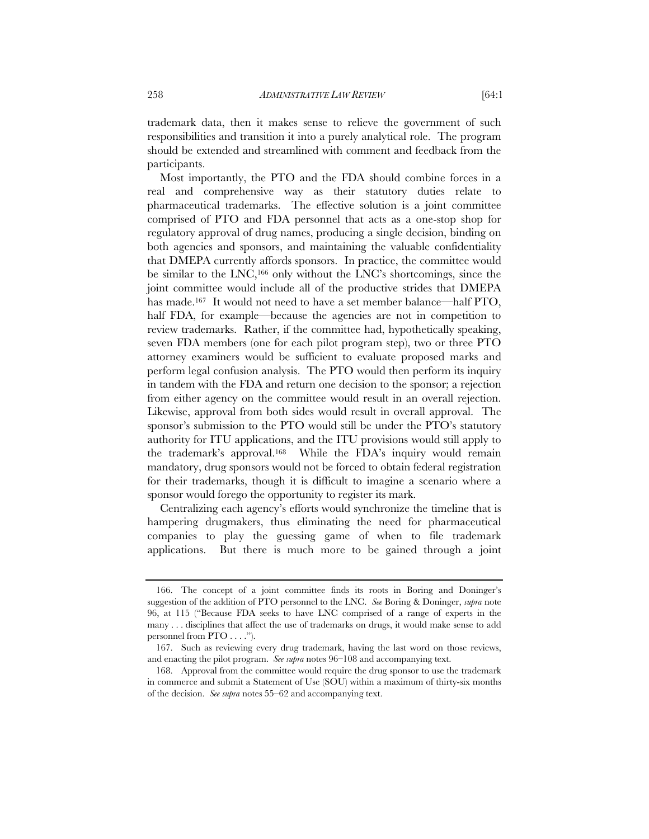trademark data, then it makes sense to relieve the government of such responsibilities and transition it into a purely analytical role. The program should be extended and streamlined with comment and feedback from the participants.

Most importantly, the PTO and the FDA should combine forces in a real and comprehensive way as their statutory duties relate to pharmaceutical trademarks. The effective solution is a joint committee comprised of PTO and FDA personnel that acts as a one-stop shop for regulatory approval of drug names, producing a single decision, binding on both agencies and sponsors, and maintaining the valuable confidentiality that DMEPA currently affords sponsors. In practice, the committee would be similar to the LNC,166 only without the LNC's shortcomings, since the joint committee would include all of the productive strides that DMEPA has made.<sup>167</sup> It would not need to have a set member balance—half PTO, half FDA, for example—because the agencies are not in competition to review trademarks. Rather, if the committee had, hypothetically speaking, seven FDA members (one for each pilot program step), two or three PTO attorney examiners would be sufficient to evaluate proposed marks and perform legal confusion analysis. The PTO would then perform its inquiry in tandem with the FDA and return one decision to the sponsor; a rejection from either agency on the committee would result in an overall rejection. Likewise, approval from both sides would result in overall approval. The sponsor's submission to the PTO would still be under the PTO's statutory authority for ITU applications, and the ITU provisions would still apply to the trademark's approval.168 While the FDA's inquiry would remain mandatory, drug sponsors would not be forced to obtain federal registration for their trademarks, though it is difficult to imagine a scenario where a sponsor would forego the opportunity to register its mark.

Centralizing each agency's efforts would synchronize the timeline that is hampering drugmakers, thus eliminating the need for pharmaceutical companies to play the guessing game of when to file trademark applications. But there is much more to be gained through a joint

 <sup>166.</sup> The concept of a joint committee finds its roots in Boring and Doninger's suggestion of the addition of PTO personnel to the LNC. *See* Boring & Doninger, *supra* note 96, at 115 ("Because FDA seeks to have LNC comprised of a range of experts in the many . . . disciplines that affect the use of trademarks on drugs, it would make sense to add personnel from PTO . . . .").

 <sup>167.</sup> Such as reviewing every drug trademark, having the last word on those reviews, and enacting the pilot program. *See supra* notes 96–108 and accompanying text.

 <sup>168.</sup> Approval from the committee would require the drug sponsor to use the trademark in commerce and submit a Statement of Use (SOU) within a maximum of thirty-six months of the decision. *See supra* notes 55–62 and accompanying text.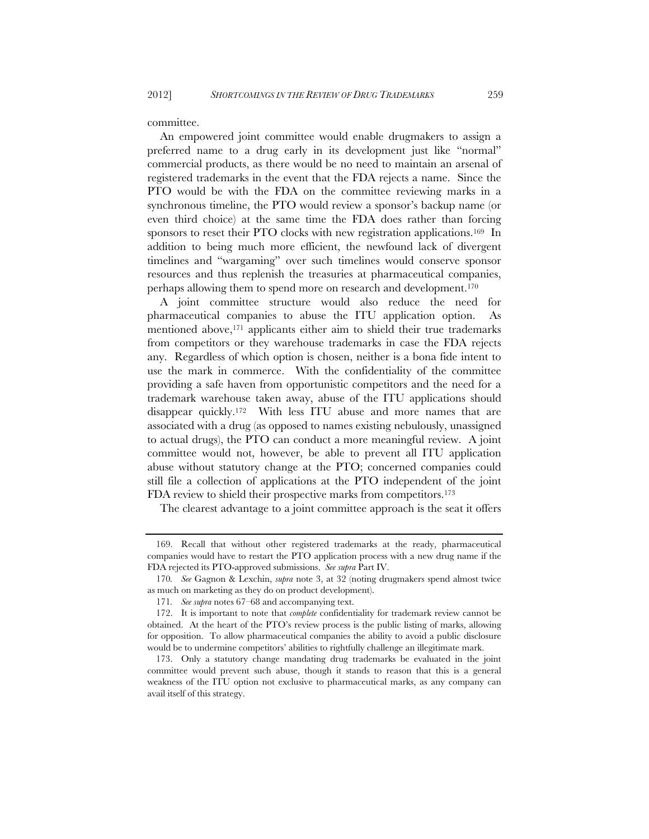committee.

An empowered joint committee would enable drugmakers to assign a preferred name to a drug early in its development just like "normal" commercial products, as there would be no need to maintain an arsenal of registered trademarks in the event that the FDA rejects a name. Since the PTO would be with the FDA on the committee reviewing marks in a synchronous timeline, the PTO would review a sponsor's backup name (or even third choice) at the same time the FDA does rather than forcing sponsors to reset their PTO clocks with new registration applications.<sup>169</sup> In addition to being much more efficient, the newfound lack of divergent timelines and "wargaming" over such timelines would conserve sponsor resources and thus replenish the treasuries at pharmaceutical companies, perhaps allowing them to spend more on research and development.170

A joint committee structure would also reduce the need for pharmaceutical companies to abuse the ITU application option. As mentioned above, $171$  applicants either aim to shield their true trademarks from competitors or they warehouse trademarks in case the FDA rejects any. Regardless of which option is chosen, neither is a bona fide intent to use the mark in commerce. With the confidentiality of the committee providing a safe haven from opportunistic competitors and the need for a trademark warehouse taken away, abuse of the ITU applications should disappear quickly.172 With less ITU abuse and more names that are associated with a drug (as opposed to names existing nebulously, unassigned to actual drugs), the PTO can conduct a more meaningful review. A joint committee would not, however, be able to prevent all ITU application abuse without statutory change at the PTO; concerned companies could still file a collection of applications at the PTO independent of the joint FDA review to shield their prospective marks from competitors.<sup>173</sup>

The clearest advantage to a joint committee approach is the seat it offers

 <sup>169.</sup> Recall that without other registered trademarks at the ready, pharmaceutical companies would have to restart the PTO application process with a new drug name if the FDA rejected its PTO-approved submissions. *See supra* Part IV.

<sup>170</sup>*. See* Gagnon & Lexchin, *supra* note 3, at 32 (noting drugmakers spend almost twice as much on marketing as they do on product development).

<sup>171</sup>*. See supra* notes 67–68 and accompanying text.

 <sup>172.</sup> It is important to note that *complete* confidentiality for trademark review cannot be obtained. At the heart of the PTO's review process is the public listing of marks, allowing for opposition. To allow pharmaceutical companies the ability to avoid a public disclosure would be to undermine competitors' abilities to rightfully challenge an illegitimate mark.

<sup>173.</sup> Only a statutory change mandating drug trademarks be evaluated in the joint committee would prevent such abuse, though it stands to reason that this is a general weakness of the ITU option not exclusive to pharmaceutical marks, as any company can avail itself of this strategy.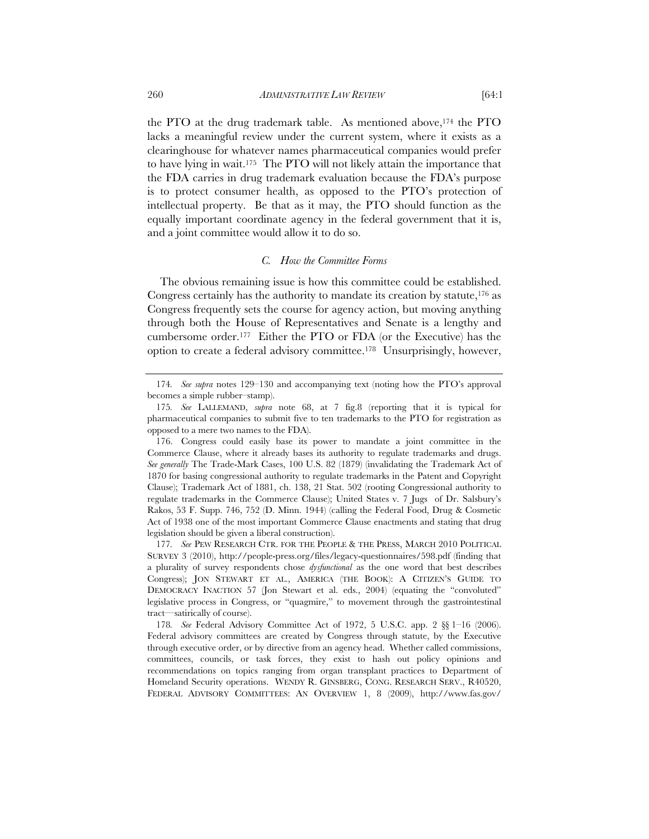the PTO at the drug trademark table. As mentioned above,174 the PTO lacks a meaningful review under the current system, where it exists as a clearinghouse for whatever names pharmaceutical companies would prefer to have lying in wait.175 The PTO will not likely attain the importance that the FDA carries in drug trademark evaluation because the FDA's purpose is to protect consumer health, as opposed to the PTO's protection of intellectual property. Be that as it may, the PTO should function as the equally important coordinate agency in the federal government that it is, and a joint committee would allow it to do so.

#### *C. How the Committee Forms*

The obvious remaining issue is how this committee could be established. Congress certainly has the authority to mandate its creation by statute,  $176$  as Congress frequently sets the course for agency action, but moving anything through both the House of Representatives and Senate is a lengthy and cumbersome order.177 Either the PTO or FDA (or the Executive) has the option to create a federal advisory committee.178 Unsurprisingly, however,

<sup>174</sup>*. See supra* notes 129–130 and accompanying text (noting how the PTO's approval becomes a simple rubber–stamp).

<sup>175</sup>*. See* LALLEMAND, *supra* note 68, at 7 fig.8 (reporting that it is typical for pharmaceutical companies to submit five to ten trademarks to the PTO for registration as opposed to a mere two names to the FDA).

 <sup>176.</sup> Congress could easily base its power to mandate a joint committee in the Commerce Clause, where it already bases its authority to regulate trademarks and drugs. *See generally* The Trade-Mark Cases, 100 U.S. 82 (1879) (invalidating the Trademark Act of 1870 for basing congressional authority to regulate trademarks in the Patent and Copyright Clause); Trademark Act of 1881, ch. 138, 21 Stat. 502 (rooting Congressional authority to regulate trademarks in the Commerce Clause); United States v. 7 Jugs of Dr. Salsbury's Rakos, 53 F. Supp. 746, 752 (D. Minn. 1944) (calling the Federal Food, Drug & Cosmetic Act of 1938 one of the most important Commerce Clause enactments and stating that drug legislation should be given a liberal construction).

<sup>177</sup>*. See* PEW RESEARCH CTR. FOR THE PEOPLE & THE PRESS, MARCH 2010 POLITICAL SURVEY 3 (2010), http://people-press.org/files/legacy-questionnaires/598.pdf (finding that a plurality of survey respondents chose *dysfunctional* as the one word that best describes Congress); JON STEWART ET AL., AMERICA (THE BOOK): A CITIZEN'S GUIDE TO DEMOCRACY INACTION 57 (Jon Stewart et al. eds., 2004) (equating the "convoluted" legislative process in Congress, or "quagmire," to movement through the gastrointestinal tract—satirically of course).

<sup>178</sup>*. See* Federal Advisory Committee Act of 1972, 5 U.S.C. app. 2 §§ 1–16 (2006). Federal advisory committees are created by Congress through statute, by the Executive through executive order, or by directive from an agency head. Whether called commissions, committees, councils, or task forces, they exist to hash out policy opinions and recommendations on topics ranging from organ transplant practices to Department of Homeland Security operations. WENDY R. GINSBERG, CONG. RESEARCH SERV., R40520, FEDERAL ADVISORY COMMITTEES: AN OVERVIEW 1, 8 (2009), http://www.fas.gov/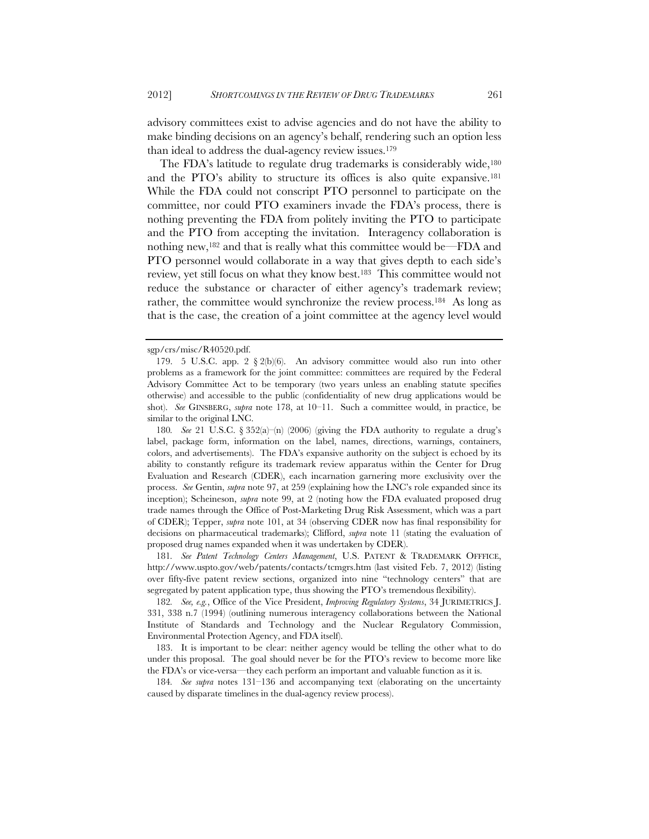advisory committees exist to advise agencies and do not have the ability to make binding decisions on an agency's behalf, rendering such an option less than ideal to address the dual-agency review issues.179

The FDA's latitude to regulate drug trademarks is considerably wide,<sup>180</sup> and the PTO's ability to structure its offices is also quite expansive.181 While the FDA could not conscript PTO personnel to participate on the committee, nor could PTO examiners invade the FDA's process, there is nothing preventing the FDA from politely inviting the PTO to participate and the PTO from accepting the invitation. Interagency collaboration is nothing new,182 and that is really what this committee would be—FDA and PTO personnel would collaborate in a way that gives depth to each side's review, yet still focus on what they know best.183 This committee would not reduce the substance or character of either agency's trademark review; rather, the committee would synchronize the review process.184 As long as that is the case, the creation of a joint committee at the agency level would

181*. See Patent Technology Centers Management*, U.S. PATENT & TRADEMARK OFFFICE, http://www.uspto.gov/web/patents/contacts/tcmgrs.htm (last visited Feb. 7, 2012) (listing over fifty-five patent review sections, organized into nine "technology centers" that are segregated by patent application type, thus showing the PTO's tremendous flexibility).

182*. See, e.g.*, Office of the Vice President, *Improving Regulatory Systems*, 34 JURIMETRICS J. 331, 338 n.7 (1994) (outlining numerous interagency collaborations between the National Institute of Standards and Technology and the Nuclear Regulatory Commission, Environmental Protection Agency, and FDA itself).

 183. It is important to be clear: neither agency would be telling the other what to do under this proposal. The goal should never be for the PTO's review to become more like the FDA's or vice-versa—they each perform an important and valuable function as it is.

184*. See supra* notes 131–136 and accompanying text (elaborating on the uncertainty caused by disparate timelines in the dual-agency review process).

sgp/crs/misc/R40520.pdf.

 <sup>179. 5</sup> U.S.C. app. 2 § 2(b)(6). An advisory committee would also run into other problems as a framework for the joint committee: committees are required by the Federal Advisory Committee Act to be temporary (two years unless an enabling statute specifies otherwise) and accessible to the public (confidentiality of new drug applications would be shot). *See* GINSBERG, *supra* note 178, at 10–11. Such a committee would, in practice, be similar to the original LNC.

<sup>180</sup>*. See* 21 U.S.C. § 352(a)–(n) (2006) (giving the FDA authority to regulate a drug's label, package form, information on the label, names, directions, warnings, containers, colors, and advertisements). The FDA's expansive authority on the subject is echoed by its ability to constantly refigure its trademark review apparatus within the Center for Drug Evaluation and Research (CDER), each incarnation garnering more exclusivity over the process. *See* Gentin, *supra* note 97, at 259 (explaining how the LNC's role expanded since its inception); Scheineson, *supra* note 99, at 2 (noting how the FDA evaluated proposed drug trade names through the Office of Post-Marketing Drug Risk Assessment, which was a part of CDER); Tepper, *supra* note 101, at 34 (observing CDER now has final responsibility for decisions on pharmaceutical trademarks); Clifford, *supra* note 11 (stating the evaluation of proposed drug names expanded when it was undertaken by CDER).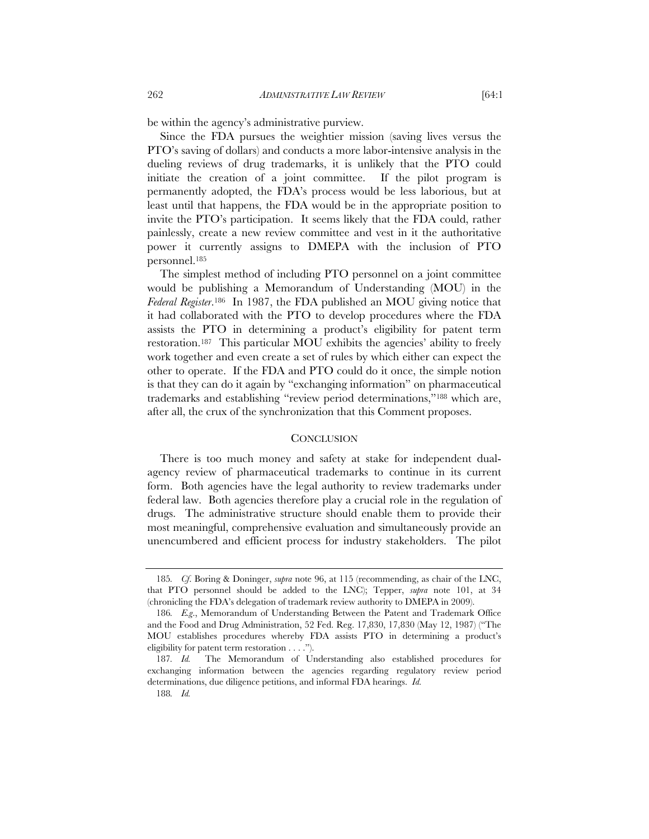be within the agency's administrative purview.

Since the FDA pursues the weightier mission (saving lives versus the PTO's saving of dollars) and conducts a more labor-intensive analysis in the dueling reviews of drug trademarks, it is unlikely that the PTO could initiate the creation of a joint committee. If the pilot program is permanently adopted, the FDA's process would be less laborious, but at least until that happens, the FDA would be in the appropriate position to invite the PTO's participation. It seems likely that the FDA could, rather painlessly, create a new review committee and vest in it the authoritative power it currently assigns to DMEPA with the inclusion of PTO personnel.185

The simplest method of including PTO personnel on a joint committee would be publishing a Memorandum of Understanding (MOU) in the *Federal Register*.186 In 1987, the FDA published an MOU giving notice that it had collaborated with the PTO to develop procedures where the FDA assists the PTO in determining a product's eligibility for patent term restoration.187 This particular MOU exhibits the agencies' ability to freely work together and even create a set of rules by which either can expect the other to operate. If the FDA and PTO could do it once, the simple notion is that they can do it again by "exchanging information" on pharmaceutical trademarks and establishing "review period determinations,"188 which are, after all, the crux of the synchronization that this Comment proposes.

#### **CONCLUSION**

There is too much money and safety at stake for independent dualagency review of pharmaceutical trademarks to continue in its current form. Both agencies have the legal authority to review trademarks under federal law. Both agencies therefore play a crucial role in the regulation of drugs. The administrative structure should enable them to provide their most meaningful, comprehensive evaluation and simultaneously provide an unencumbered and efficient process for industry stakeholders. The pilot

<sup>185</sup>*. Cf*. Boring & Doninger, *supra* note 96, at 115 (recommending, as chair of the LNC, that PTO personnel should be added to the LNC); Tepper, *supra* note 101, at 34 (chronicling the FDA's delegation of trademark review authority to DMEPA in 2009).

<sup>186</sup>*. E.g*., Memorandum of Understanding Between the Patent and Trademark Office and the Food and Drug Administration, 52 Fed. Reg. 17,830, 17,830 (May 12, 1987) ("The MOU establishes procedures whereby FDA assists PTO in determining a product's eligibility for patent term restoration . . . .").

<sup>187</sup>*. Id.* The Memorandum of Understanding also established procedures for exchanging information between the agencies regarding regulatory review period determinations, due diligence petitions, and informal FDA hearings. *Id.*

<sup>188</sup>*. Id.*